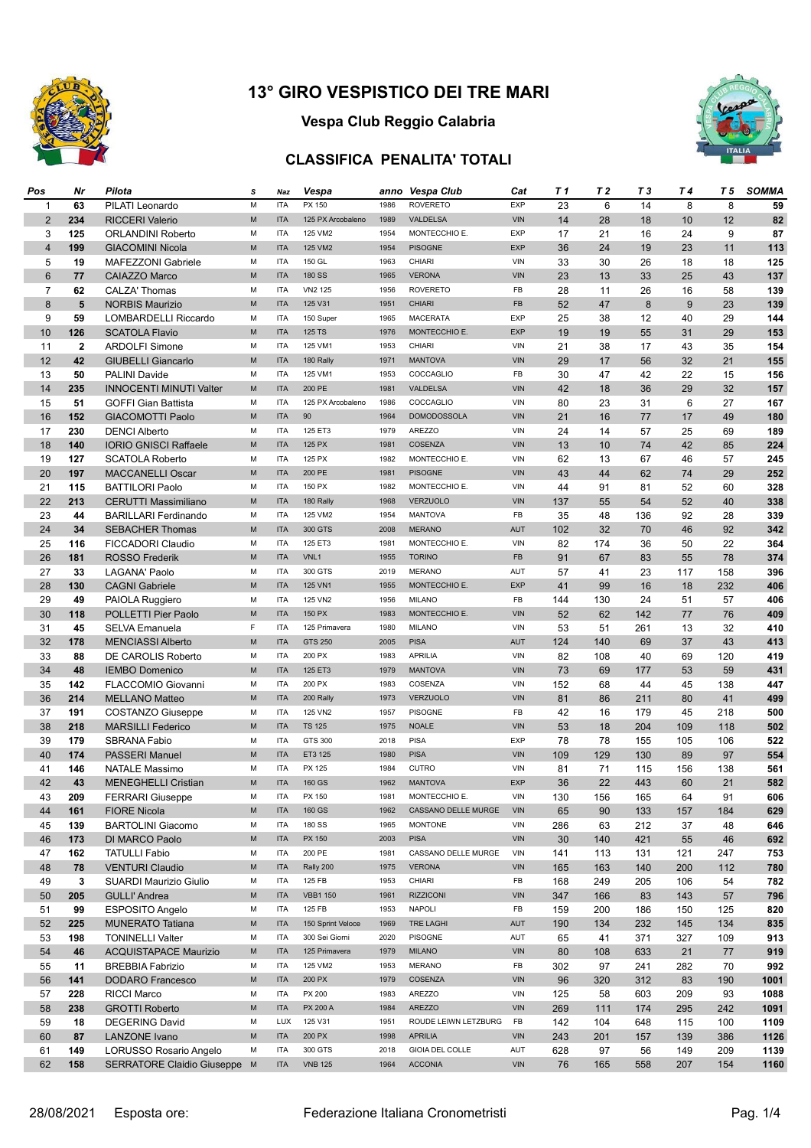

# **Vespa Club Reggio Calabria**

#### **CLASSIFICA PENALITA' TOTALI**



| Pos            | Nr           | Pilota                         | s           | Naz        | Vespa             |              | anno Vespa Club          | Cat               | T 1 | T 2 | T 3 | T 4 | T 5 | <b>SOMMA</b> |
|----------------|--------------|--------------------------------|-------------|------------|-------------------|--------------|--------------------------|-------------------|-----|-----|-----|-----|-----|--------------|
| 1              | 63           | PILATI Leonardo                | M           | <b>ITA</b> | PX 150            | 1986         | <b>ROVERETO</b>          | <b>EXP</b>        | 23  | 6   | 14  | 8   | 8   | 59           |
| 2              | 234          | <b>RICCERI Valerio</b>         | M           | <b>ITA</b> | 125 PX Arcobaleno | 1989         | VALDELSA                 | <b>VIN</b>        | 14  | 28  | 18  | 10  | 12  | 82           |
| 3              | 125          | <b>ORLANDINI Roberto</b>       | M           | <b>ITA</b> | 125 VM2           | 1954         | MONTECCHIO E.            | <b>EXP</b>        | 17  | 21  | 16  | 24  | 9   | 87           |
| $\overline{4}$ | 199          | <b>GIACOMINI Nicola</b>        | M           | <b>ITA</b> | 125 VM2           | 1954         | <b>PISOGNE</b>           | <b>EXP</b>        | 36  | 24  | 19  | 23  | 11  | 113          |
| 5              | 19           | MAFEZZONI Gabriele             | М           | <b>ITA</b> | 150 GL            | 1963         | CHIARI                   | VIN               | 33  | 30  | 26  | 18  | 18  | 125          |
| $6\phantom{1}$ | 77           | <b>CAIAZZO Marco</b>           | M           | <b>ITA</b> | <b>180 SS</b>     | 1965         | <b>VERONA</b>            | <b>VIN</b>        | 23  | 13  | 33  | 25  | 43  | 137          |
| $\overline{7}$ | 62           | <b>CALZA' Thomas</b>           | М           | <b>ITA</b> | VN2 125           | 1956         | <b>ROVERETO</b>          | FB                | 28  | 11  | 26  | 16  | 58  | 139          |
| 8              | 5            | <b>NORBIS Maurizio</b>         | M           | <b>ITA</b> | 125 V31           | 1951         | <b>CHIARI</b>            | FB                | 52  | 47  | 8   | 9   | 23  | 139          |
| 9              | 59           | <b>LOMBARDELLI Riccardo</b>    | M           | <b>ITA</b> | 150 Super         | 1965         | <b>MACERATA</b>          | <b>EXP</b>        | 25  | 38  | 12  | 40  | 29  | 144          |
| 10             | 126          | <b>SCATOLA Flavio</b>          | M           | <b>ITA</b> | 125 TS            | 1976         | MONTECCHIO E.            | <b>EXP</b>        | 19  | 19  | 55  | 31  | 29  | 153          |
|                |              |                                |             | <b>ITA</b> |                   |              |                          |                   |     |     |     |     |     |              |
| 11             | $\mathbf{2}$ | <b>ARDOLFI Simone</b>          | М<br>M      | <b>ITA</b> | 125 VM1           | 1953<br>1971 | CHIARI<br><b>MANTOVA</b> | VIN<br><b>VIN</b> | 21  | 38  | 17  | 43  | 35  | 154          |
| 12             | 42           | <b>GIUBELLI Giancarlo</b>      |             |            | 180 Rally         |              | COCCAGLIO                |                   | 29  | 17  | 56  | 32  | 21  | 155          |
| 13             | 50           | PALINI Davide                  | М           | <b>ITA</b> | 125 VM1           | 1953         |                          | FB                | 30  | 47  | 42  | 22  | 15  | 156          |
| 14             | 235          | <b>INNOCENTI MINUTI Valter</b> | M           | <b>ITA</b> | 200 PE            | 1981         | VALDELSA                 | <b>VIN</b>        | 42  | 18  | 36  | 29  | 32  | 157          |
| 15             | 51           | <b>GOFFI Gian Battista</b>     | М           | <b>ITA</b> | 125 PX Arcobaleno | 1986         | COCCAGLIO                | VIN               | 80  | 23  | 31  | 6   | 27  | 167          |
| 16             | 152          | <b>GIACOMOTTI Paolo</b>        | M           | <b>ITA</b> | 90                | 1964         | <b>DOMODOSSOLA</b>       | <b>VIN</b>        | 21  | 16  | 77  | 17  | 49  | 180          |
| 17             | 230          | <b>DENCI Alberto</b>           | М           | <b>ITA</b> | 125 ET3           | 1979         | <b>AREZZO</b>            | VIN               | 24  | 14  | 57  | 25  | 69  | 189          |
| 18             | 140          | <b>IORIO GNISCI Raffaele</b>   | M           | <b>ITA</b> | 125 PX            | 1981         | <b>COSENZA</b>           | VIN               | 13  | 10  | 74  | 42  | 85  | 224          |
| 19             | 127          | <b>SCATOLA Roberto</b>         | M           | <b>ITA</b> | 125 PX            | 1982         | MONTECCHIO E.            | VIN               | 62  | 13  | 67  | 46  | 57  | 245          |
| 20             | 197          | <b>MACCANELLI Oscar</b>        | M           | <b>ITA</b> | 200 PE            | 1981         | <b>PISOGNE</b>           | <b>VIN</b>        | 43  | 44  | 62  | 74  | 29  | 252          |
| 21             | 115          | <b>BATTILORI Paolo</b>         | M           | <b>ITA</b> | 150 PX            | 1982         | MONTECCHIO E.            | VIN               | 44  | 91  | 81  | 52  | 60  | 328          |
| 22             | 213          | <b>CERUTTI Massimiliano</b>    | M           | <b>ITA</b> | 180 Rally         | 1968         | <b>VERZUOLO</b>          | <b>VIN</b>        | 137 | 55  | 54  | 52  | 40  | 338          |
| 23             | 44           | <b>BARILLARI Ferdinando</b>    | M           | <b>ITA</b> | 125 VM2           | 1954         | <b>MANTOVA</b>           | FB                | 35  | 48  | 136 | 92  | 28  | 339          |
| 24             | 34           | <b>SEBACHER Thomas</b>         | M           | <b>ITA</b> | 300 GTS           | 2008         | <b>MERANO</b>            | <b>AUT</b>        | 102 | 32  | 70  | 46  | 92  | 342          |
| 25             | 116          | <b>FICCADORI Claudio</b>       | М           | <b>ITA</b> | 125 ET3           | 1981         | MONTECCHIO E.            | VIN               | 82  | 174 | 36  | 50  | 22  | 364          |
| 26             | 181          | <b>ROSSO Frederik</b>          | M           | <b>ITA</b> | VNL1              | 1955         | <b>TORINO</b>            | FB                | 91  | 67  | 83  | 55  | 78  | 374          |
| 27             | 33           | <b>LAGANA' Paolo</b>           | M           | <b>ITA</b> | 300 GTS           | 2019         | <b>MERANO</b>            | <b>AUT</b>        | 57  | 41  | 23  | 117 | 158 | 396          |
| 28             | 130          | <b>CAGNI Gabriele</b>          | M           | <b>ITA</b> | 125 VN1           | 1955         | MONTECCHIO E.            | <b>EXP</b>        | 41  | 99  | 16  | 18  | 232 | 406          |
| 29             | 49           | PAIOLA Ruggiero                | М           | <b>ITA</b> | 125 VN2           | 1956         | <b>MILANO</b>            | FB                | 144 | 130 | 24  | 51  | 57  | 406          |
| 30             | 118          | POLLETTI Pier Paolo            | M           | <b>ITA</b> | 150 PX            | 1983         | MONTECCHIO E.            | <b>VIN</b>        | 52  | 62  | 142 | 77  | 76  | 409          |
| 31             | 45           | SELVA Emanuela                 | $\mathsf F$ | <b>ITA</b> | 125 Primavera     | 1980         | <b>MILANO</b>            | <b>VIN</b>        | 53  | 51  | 261 | 13  | 32  | 410          |
| 32             | 178          | <b>MENCIASSI Alberto</b>       | M           | <b>ITA</b> | GTS 250           | 2005         | <b>PISA</b>              | <b>AUT</b>        | 124 | 140 | 69  | 37  | 43  | 413          |
| 33             | 88           | DE CAROLIS Roberto             | м           | <b>ITA</b> | 200 PX            | 1983         | <b>APRILIA</b>           | VIN               | 82  | 108 | 40  | 69  | 120 | 419          |
| 34             | 48           | <b>IEMBO Domenico</b>          | M           | <b>ITA</b> | 125 ET3           | 1979         | <b>MANTOVA</b>           | <b>VIN</b>        | 73  | 69  | 177 | 53  | 59  | 431          |
| 35             | 142          | FLACCOMIO Giovanni             | M           | <b>ITA</b> | 200 PX            | 1983         | COSENZA                  | VIN               | 152 | 68  | 44  | 45  | 138 | 447          |
| 36             | 214          | <b>MELLANO Matteo</b>          | M           | <b>ITA</b> | 200 Rally         | 1973         | <b>VERZUOLO</b>          | <b>VIN</b>        | 81  | 86  |     |     | 41  | 499          |
|                |              |                                | М           | <b>ITA</b> |                   |              | <b>PISOGNE</b>           |                   |     |     | 211 | 80  |     |              |
| 37             | 191          | <b>COSTANZO Giuseppe</b>       |             |            | 125 VN2           | 1957         |                          | FB                | 42  | 16  | 179 | 45  | 218 | 500          |
| 38             | 218          | <b>MARSILLI Federico</b>       | M           | <b>ITA</b> | <b>TS 125</b>     | 1975         | <b>NOALE</b>             | <b>VIN</b>        | 53  | 18  | 204 | 109 | 118 | 502          |
| 39             | 179          | <b>SBRANA Fabio</b>            | M           | <b>ITA</b> | GTS 300           | 2018         | <b>PISA</b>              | <b>EXP</b>        | 78  | 78  | 155 | 105 | 106 | 522          |
| 40             | 174          | <b>PASSERI Manuel</b>          | M           | <b>ITA</b> | ET3 125           | 1980         | <b>PISA</b>              | VIN               | 109 | 129 | 130 | 89  | 97  | 554          |
| 41             | 146          | <b>NATALE Massimo</b>          | M           | <b>ITA</b> | PX 125            | 1984         | <b>CUTRO</b>             | VIN               | 81  | 71  | 115 | 156 | 138 | 561          |
| 42             | 43           | <b>MENEGHELLI Cristian</b>     | M           | <b>ITA</b> | 160 GS            | 1962         | <b>MANTOVA</b>           | <b>EXP</b>        | 36  | 22  | 443 | 60  | 21  | 582          |
| 43             | 209          | <b>FERRARI Giuseppe</b>        | М           | <b>ITA</b> | PX 150            | 1981         | MONTECCHIO E.            | VIN               | 130 | 156 | 165 | 64  | 91  | 606          |
| 44             | 161          | <b>FIORE Nicola</b>            | M           | <b>ITA</b> | 160 GS            | 1962         | CASSANO DELLE MURGE      | <b>VIN</b>        | 65  | 90  | 133 | 157 | 184 | 629          |
| 45             | 139          | <b>BARTOLINI Giacomo</b>       | М           | <b>ITA</b> | 180 SS            | 1965         | <b>MONTONE</b>           | VIN               | 286 | 63  | 212 | 37  | 48  | 646          |
| 46             | 173          | DI MARCO Paolo                 | M           | <b>ITA</b> | PX 150            | 2003         | <b>PISA</b>              | <b>VIN</b>        | 30  | 140 | 421 | 55  | 46  | 692          |
| 47             | 162          | <b>TATULLI Fabio</b>           | М           | <b>ITA</b> | 200 PE            | 1981         | CASSANO DELLE MURGE      | VIN               | 141 | 113 | 131 | 121 | 247 | 753          |
| 48             | 78           | <b>VENTURI Claudio</b>         | M           | <b>ITA</b> | Rally 200         | 1975         | <b>VERONA</b>            | VIN               | 165 | 163 | 140 | 200 | 112 | 780          |
| 49             | 3            | <b>SUARDI Maurizio Giulio</b>  | М           | <b>ITA</b> | 125 FB            | 1953         | CHIARI                   | FB                | 168 | 249 | 205 | 106 | 54  | 782          |
| 50             | 205          | <b>GULLI' Andrea</b>           | M           | <b>ITA</b> | <b>VBB1 150</b>   | 1961         | <b>RIZZICONI</b>         | VIN               | 347 | 166 | 83  | 143 | 57  | 796          |
| 51             | 99           | ESPOSITO Angelo                | М           | <b>ITA</b> | 125 FB            | 1953         | <b>NAPOLI</b>            | FB                | 159 | 200 | 186 | 150 | 125 | 820          |
| 52             | 225          | <b>MUNERATO Tatiana</b>        | M           | <b>ITA</b> | 150 Sprint Veloce | 1969         | TRE LAGHI                | <b>AUT</b>        | 190 | 134 | 232 | 145 | 134 | 835          |
| 53             | 198          | <b>TONINELLI Valter</b>        | М           | <b>ITA</b> | 300 Sei Giorni    | 2020         | PISOGNE                  | <b>AUT</b>        | 65  | 41  | 371 | 327 | 109 | 913          |
| 54             | 46           | <b>ACQUISTAPACE Maurizio</b>   | M           | <b>ITA</b> | 125 Primavera     | 1979         | <b>MILANO</b>            | VIN               | 80  | 108 | 633 | 21  | 77  | 919          |
| 55             | 11           | <b>BREBBIA Fabrizio</b>        | М           | <b>ITA</b> | 125 VM2           | 1953         | <b>MERANO</b>            | FB                | 302 | 97  | 241 | 282 | 70  | 992          |
| 56             | 141          | <b>DODARO</b> Francesco        | M           | <b>ITA</b> | 200 PX            | 1979         | COSENZA                  | VIN               | 96  | 320 | 312 | 83  | 190 | 1001         |
| 57             | 228          | <b>RICCI Marco</b>             | М           | <b>ITA</b> | PX 200            | 1983         | AREZZO                   | VIN               | 125 | 58  | 603 | 209 | 93  | 1088         |
| 58             | 238          | <b>GROTTI Roberto</b>          | M           | <b>ITA</b> | <b>PX 200 A</b>   | 1984         | AREZZO                   | VIN               | 269 | 111 | 174 | 295 | 242 | 1091         |
| 59             | 18           | <b>DEGERING David</b>          | М           | LUX        | 125 V31           | 1951         | ROUDE LEIWN LETZBURG     | FB                | 142 | 104 | 648 | 115 | 100 | 1109         |
| 60             | 87           | LANZONE Ivano                  | M           | <b>ITA</b> | 200 PX            | 1998         | <b>APRILIA</b>           | VIN               | 243 | 201 | 157 | 139 | 386 | 1126         |
| 61             | 149          | <b>LORUSSO Rosario Angelo</b>  | М           | <b>ITA</b> | 300 GTS           | 2018         | <b>GIOIA DEL COLLE</b>   | AUT               | 628 | 97  | 56  | 149 | 209 | 1139         |
| 62             | 158          | SERRATORE Claidio Giuseppe M   |             | <b>ITA</b> | <b>VNB 125</b>    | 1964         | <b>ACCONIA</b>           | <b>VIN</b>        | 76  | 165 | 558 | 207 | 154 | 1160         |
|                |              |                                |             |            |                   |              |                          |                   |     |     |     |     |     |              |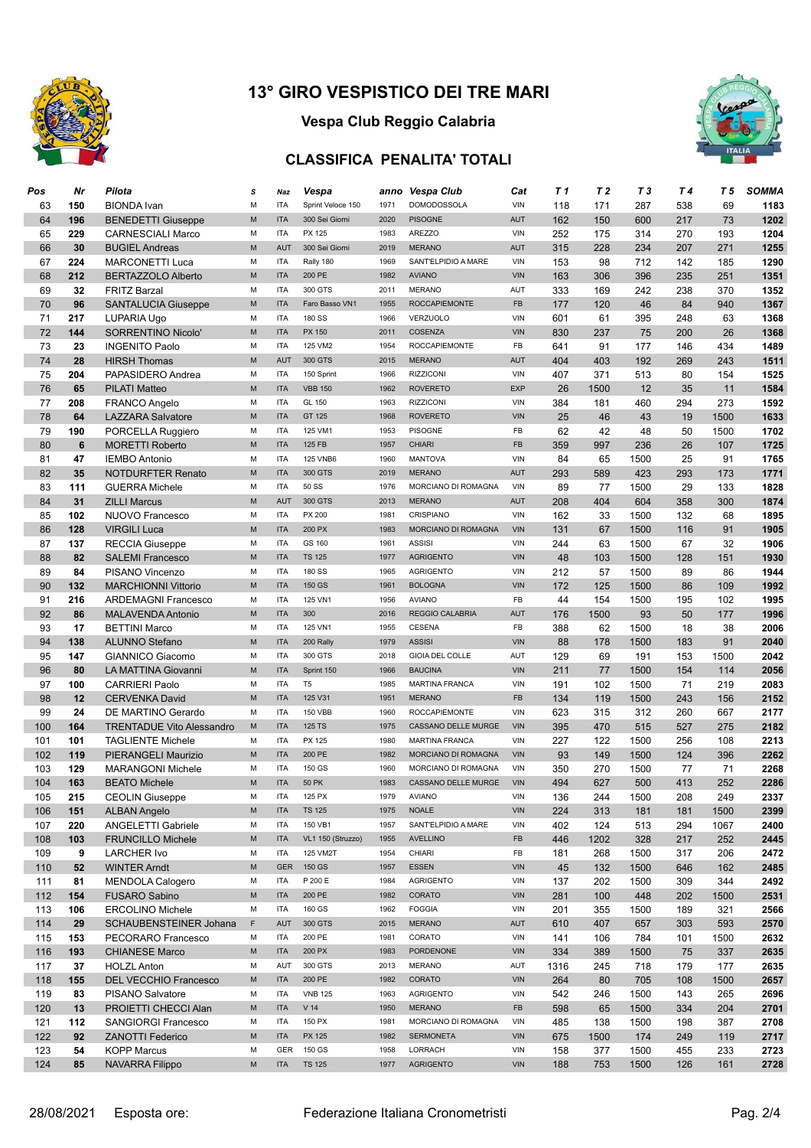

## **Vespa Club Reggio Calabria**

### **CLASSIFICA PENALITA' TOTALI**



| Pos        | Nr  | Pilota                                            | s                                                                                                               | Naz                      | Vespa             | anno         | Vespa Club                 | Cat        | T 1  | T 2  | T 3  | T 4 | T 5  | <b>SOMMA</b> |
|------------|-----|---------------------------------------------------|-----------------------------------------------------------------------------------------------------------------|--------------------------|-------------------|--------------|----------------------------|------------|------|------|------|-----|------|--------------|
| 63         | 150 | <b>BIONDA</b> Ivan                                | M                                                                                                               | <b>ITA</b>               | Sprint Veloce 150 | 1971         | <b>DOMODOSSOLA</b>         | VIN        | 118  | 171  | 287  | 538 | 69   | 1183         |
| 64         | 196 | <b>BENEDETTI Giuseppe</b>                         | ${\sf M}$                                                                                                       | <b>ITA</b>               | 300 Sei Giorni    | 2020         | <b>PISOGNE</b>             | AUT        | 162  | 150  | 600  | 217 | 73   | 1202         |
| 65         | 229 | <b>CARNESCIALI Marco</b>                          | М                                                                                                               | <b>ITA</b>               | PX 125            | 1983         | <b>AREZZO</b>              | VIN        | 252  | 175  | 314  | 270 | 193  | 1204         |
| 66         | 30  | <b>BUGIEL Andreas</b>                             | ${\sf M}$                                                                                                       | <b>AUT</b>               | 300 Sei Giorni    | 2019         | <b>MERANO</b>              | <b>AUT</b> | 315  | 228  | 234  | 207 | 271  | 1255         |
| 67         | 224 | <b>MARCONETTI Luca</b>                            | M                                                                                                               | <b>ITA</b>               | Rally 180         | 1969         | SANT'ELPIDIO A MARE        | <b>VIN</b> | 153  | 98   | 712  | 142 | 185  | 1290         |
| 68         | 212 | <b>BERTAZZOLO Alberto</b>                         | M                                                                                                               | <b>ITA</b>               | 200 PE            | 1982         | <b>AVIANO</b>              | <b>VIN</b> | 163  | 306  | 396  | 235 | 251  | 1351         |
| 69         | 32  | <b>FRITZ Barzal</b>                               | М                                                                                                               | <b>ITA</b>               | 300 GTS           | 2011         | <b>MERANO</b>              | AUT        | 333  | 169  | 242  | 238 | 370  | 1352         |
| 70         | 96  | <b>SANTALUCIA Giuseppe</b>                        | M                                                                                                               | <b>ITA</b>               | Faro Basso VN1    | 1955         | <b>ROCCAPIEMONTE</b>       | <b>FB</b>  | 177  | 120  | 46   | 84  | 940  | 1367         |
| 71         | 217 | <b>LUPARIA Ugo</b>                                | М                                                                                                               | <b>ITA</b>               | <b>180 SS</b>     | 1966         | VERZUOLO                   | <b>VIN</b> | 601  | 61   | 395  | 248 | 63   | 1368         |
| 72         | 144 | SORRENTINO Nicolo'                                | ${\sf M}$                                                                                                       | <b>ITA</b>               | PX 150            | 2011         | <b>COSENZA</b>             | <b>VIN</b> | 830  | 237  | 75   | 200 | 26   | 1368         |
| 73         | 23  | <b>INGENITO Paolo</b>                             | М                                                                                                               | <b>ITA</b>               | 125 VM2           | 1954         | <b>ROCCAPIEMONTE</b>       | FB         | 641  | 91   | 177  | 146 | 434  | 1489         |
| 74         | 28  | <b>HIRSH Thomas</b>                               | M                                                                                                               | <b>AUT</b>               | 300 GTS           | 2015         | <b>MERANO</b>              | <b>AUT</b> | 404  | 403  | 192  | 269 | 243  | 1511         |
| 75         | 204 | PAPASIDERO Andrea                                 | M                                                                                                               | <b>ITA</b>               | 150 Sprint        | 1966         | <b>RIZZICONI</b>           | VIN        | 407  | 371  | 513  | 80  | 154  | 1525         |
| 76         | 65  | <b>PILATI Matteo</b>                              | M                                                                                                               | <b>ITA</b>               | <b>VBB 150</b>    | 1962         | <b>ROVERETO</b>            | <b>EXP</b> | 26   | 1500 | 12   | 35  | 11   | 1584         |
| 77         | 208 |                                                   | M                                                                                                               | <b>ITA</b>               | GL 150            | 1963         | <b>RIZZICONI</b>           | VIN        | 384  |      | 460  | 294 | 273  | 1592         |
|            |     | FRANCO Angelo                                     |                                                                                                                 |                          | GT 125            |              | <b>ROVERETO</b>            | <b>VIN</b> |      | 181  |      |     |      |              |
| 78         | 64  | <b>LAZZARA Salvatore</b>                          | M                                                                                                               | <b>ITA</b>               |                   | 1968         |                            |            | 25   | 46   | 43   | 19  | 1500 | 1633         |
| 79         | 190 | PORCELLA Ruggiero                                 | M                                                                                                               | <b>ITA</b>               | 125 VM1           | 1953         | <b>PISOGNE</b>             | FB         | 62   | 42   | 48   | 50  | 1500 | 1702         |
| 80         | 6   | <b>MORETTI Roberto</b>                            | ${\sf M}$                                                                                                       | <b>ITA</b>               | 125 FB            | 1957         | <b>CHIARI</b>              | FB         | 359  | 997  | 236  | 26  | 107  | 1725         |
| 81         | 47  | <b>IEMBO Antonio</b>                              | M                                                                                                               | <b>ITA</b>               | <b>125 VNB6</b>   | 1960         | <b>MANTOVA</b>             | <b>VIN</b> | 84   | 65   | 1500 | 25  | 91   | 1765         |
| 82         | 35  | <b>NOTDURFTER Renato</b>                          | ${\sf M}$                                                                                                       | <b>ITA</b>               | 300 GTS           | 2019         | <b>MERANO</b>              | <b>AUT</b> | 293  | 589  | 423  | 293 | 173  | 1771         |
| 83         | 111 | <b>GUERRA Michele</b>                             | M                                                                                                               | <b>ITA</b>               | 50 SS             | 1976         | MORCIANO DI ROMAGNA        | VIN        | 89   | 77   | 1500 | 29  | 133  | 1828         |
| 84         | 31  | <b>ZILLI Marcus</b>                               | ${\sf M}$                                                                                                       | <b>AUT</b>               | 300 GTS           | 2013         | <b>MERANO</b>              | <b>AUT</b> | 208  | 404  | 604  | 358 | 300  | 1874         |
| 85         | 102 | NUOVO Francesco                                   | M                                                                                                               | <b>ITA</b>               | PX 200            | 1981         | <b>CRISPIANO</b>           | <b>VIN</b> | 162  | 33   | 1500 | 132 | 68   | 1895         |
| 86         | 128 | <b>VIRGILI Luca</b>                               | M                                                                                                               | <b>ITA</b>               | 200 PX            | 1983         | <b>MORCIANO DI ROMAGNA</b> | <b>VIN</b> | 131  | 67   | 1500 | 116 | 91   | 1905         |
| 87         | 137 | <b>RECCIA Giuseppe</b>                            | М                                                                                                               | <b>ITA</b>               | GS 160            | 1961         | <b>ASSISI</b>              | VIN        | 244  | 63   | 1500 | 67  | 32   | 1906         |
| 88         | 82  | <b>SALEMI Francesco</b>                           | ${\sf M}$                                                                                                       | <b>ITA</b>               | <b>TS 125</b>     | 1977         | <b>AGRIGENTO</b>           | <b>VIN</b> | 48   | 103  | 1500 | 128 | 151  | 1930         |
| 89         | 84  | PISANO Vincenzo                                   | M                                                                                                               | <b>ITA</b>               | <b>180 SS</b>     | 1965         | <b>AGRIGENTO</b>           | <b>VIN</b> | 212  | 57   | 1500 | 89  | 86   | 1944         |
| 90         | 132 | <b>MARCHIONNI Vittorio</b>                        | M                                                                                                               | <b>ITA</b>               | 150 GS            | 1961         | <b>BOLOGNA</b>             | <b>VIN</b> | 172  | 125  | 1500 | 86  | 109  | 1992         |
| 91         | 216 | <b>ARDEMAGNI Francesco</b>                        | М                                                                                                               | <b>ITA</b>               | 125 VN1           | 1956         | <b>AVIANO</b>              | FB         | 44   | 154  | 1500 | 195 | 102  | 1995         |
| 92         | 86  | <b>MALAVENDA Antonio</b>                          | M                                                                                                               | <b>ITA</b>               | 300               | 2016         | REGGIO CALABRIA            | <b>AUT</b> | 176  | 1500 | 93   | 50  | 177  | 1996         |
| 93         | 17  | <b>BETTINI Marco</b>                              | M                                                                                                               | <b>ITA</b>               | 125 VN1           | 1955         | <b>CESENA</b>              | FB         | 388  | 62   | 1500 | 18  | 38   | 2006         |
| 94         | 138 | <b>ALUNNO Stefano</b>                             | M                                                                                                               | <b>ITA</b>               | 200 Rally         | 1979         | <b>ASSISI</b>              | <b>VIN</b> | 88   | 178  | 1500 | 183 | 91   | 2040         |
| 95         | 147 | GIANNICO Giacomo                                  | M                                                                                                               | <b>ITA</b>               | 300 GTS           | 2018         | <b>GIOIA DEL COLLE</b>     | AUT        | 129  | 69   | 191  | 153 | 1500 | 2042         |
| 96         | 80  | LA MATTINA Giovanni                               | M                                                                                                               | <b>ITA</b>               | Sprint 150        | 1966         | <b>BAUCINA</b>             | <b>VIN</b> | 211  | 77   | 1500 | 154 | 114  | 2056         |
| 97         | 100 | <b>CARRIERI Paolo</b>                             | M                                                                                                               | <b>ITA</b>               | T <sub>5</sub>    | 1985         | <b>MARTINA FRANCA</b>      | <b>VIN</b> | 191  | 102  | 1500 | 71  | 219  | 2083         |
| 98         | 12  | <b>CERVENKA David</b>                             | ${\sf M}$                                                                                                       | <b>ITA</b>               | 125 V31           | 1951         | <b>MERANO</b>              | FB         | 134  | 119  | 1500 | 243 | 156  | 2152         |
| 99         | 24  | DE MARTINO Gerardo                                | М                                                                                                               | <b>ITA</b>               | <b>150 VBB</b>    | 1960         | <b>ROCCAPIEMONTE</b>       | <b>VIN</b> | 623  | 315  | 312  | 260 | 667  | 2177         |
| 100        | 164 | <b>TRENTADUE Vito Alessandro</b>                  | $\mathsf{M}% _{T}=\mathsf{M}_{T}\!\left( a,b\right) ,\ \mathsf{M}_{T}=\mathsf{M}_{T}\!\left( a,b\right) ,$      | <b>ITA</b>               | 125 TS            | 1975         | CASSANO DELLE MURGE        | <b>VIN</b> | 395  | 470  | 515  | 527 | 275  | 2182         |
| 101        | 101 | <b>TAGLIENTE Michele</b>                          | М                                                                                                               | <b>ITA</b>               | PX 125            | 1980         | <b>MARTINA FRANCA</b>      | VIN        | 227  | 122  | 1500 | 256 | 108  | 2213         |
| 102        | 119 | <b>PIERANGELI Maurizio</b>                        | ${\sf M}$                                                                                                       | <b>ITA</b>               | 200 PE            | 1982         | <b>MORCIANO DI ROMAGNA</b> | <b>VIN</b> | 93   | 149  | 1500 | 124 | 396  | 2262         |
| 103        | 129 | <b>MARANGONI Michele</b>                          | M                                                                                                               | <b>ITA</b>               | 150 GS            | 1960         | MORCIANO DI ROMAGNA        | <b>VIN</b> | 350  | 270  | 1500 | 77  | 71   | 2268         |
| 104        | 163 | <b>BEATO Michele</b>                              | M                                                                                                               | <b>ITA</b>               | <b>50 PK</b>      | 1983         | <b>CASSANO DELLE MURGE</b> | <b>VIN</b> | 494  | 627  | 500  | 413 | 252  | 2286         |
| 105        | 215 | <b>CEOLIN Giuseppe</b>                            | М                                                                                                               | ITA                      | 125 PX            | 1979         | AVIANO                     | VIN        | 136  | 244  | 1500 | 208 | 249  | 2337         |
| 106        | 151 | <b>ALBAN Angelo</b>                               | $\mathsf{M}% _{T}=\mathsf{M}_{T}\!\left( a,b\right) ,\ \mathsf{M}_{T}=\mathsf{M}_{T}\!\left( a,b\right) ,$      | <b>ITA</b>               | <b>TS 125</b>     | 1975         | <b>NOALE</b>               | <b>VIN</b> | 224  | 313  | 181  | 181 | 1500 | 2399         |
| 107        | 220 | ANGELETTI Gabriele                                | М                                                                                                               | <b>ITA</b>               | 150 VB1           | 1957         | SANT'ELPIDIO A MARE        | VIN        | 402  | 124  | 513  | 294 | 1067 | 2400         |
| 108        | 103 | <b>FRUNCILLO Michele</b>                          | M                                                                                                               | <b>ITA</b>               | VL1 150 (Struzzo) | 1955         | <b>AVELLINO</b>            | FB         | 446  | 1202 | 328  | 217 | 252  | 2445         |
| 109        | 9   | <b>LARCHER Ivo</b>                                | М                                                                                                               | <b>ITA</b>               | 125 VM2T          | 1954         | CHIARI                     | FB         | 181  | 268  | 1500 | 317 | 206  | 2472         |
| 110        | 52  | <b>WINTER Arndt</b>                               | M                                                                                                               | <b>GER</b>               | 150 GS            | 1957         | <b>ESSEN</b>               | VIN        | 45   | 132  | 1500 | 646 | 162  | 2485         |
| 111        | 81  | <b>MENDOLA Calogero</b>                           | М                                                                                                               | <b>ITA</b>               | P 200 E           | 1984         | <b>AGRIGENTO</b>           | VIN        | 137  | 202  | 1500 | 309 | 344  | 2492         |
| 112        | 154 | <b>FUSARO Sabino</b>                              | M                                                                                                               | <b>ITA</b>               | 200 PE            | 1982         | CORATO                     | VIN        | 281  | 100  | 448  | 202 |      | 2531         |
|            |     |                                                   | М                                                                                                               | <b>ITA</b>               | 160 GS            | 1962         | <b>FOGGIA</b>              | VIN        |      |      |      |     | 1500 |              |
| 113<br>114 | 106 | <b>ERCOLINO Michele</b><br>SCHAUBENSTEINER Johana | F                                                                                                               | AUT                      | 300 GTS           | 2015         | <b>MERANO</b>              | AUT        | 201  | 355  | 1500 | 189 | 321  | 2566         |
|            | 29  |                                                   |                                                                                                                 |                          | 200 PE            |              | CORATO                     |            | 610  | 407  | 657  | 303 | 593  | 2570         |
| 115        | 153 | PECORARO Francesco                                | М<br>$\mathsf{M}% _{T}=\mathsf{M}_{T}\!\left( a,b\right) ,\ \mathsf{M}_{T}=\mathsf{M}_{T}\!\left( a,b\right) ,$ | <b>ITA</b><br><b>ITA</b> | 200 PX            | 1981<br>1983 | PORDENONE                  | VIN<br>VIN | 141  | 106  | 784  | 101 | 1500 | 2632         |
| 116        | 193 | <b>CHIANESE Marco</b>                             |                                                                                                                 |                          |                   |              |                            |            | 334  | 389  | 1500 | 75  | 337  | 2635         |
| 117        | 37  | <b>HOLZL Anton</b>                                | М                                                                                                               | <b>AUT</b>               | 300 GTS           | 2013         | <b>MERANO</b>              | AUT        | 1316 | 245  | 718  | 179 | 177  | 2635         |
| 118        | 155 | <b>DEL VECCHIO Francesco</b>                      | $\mathsf{M}% _{T}=\mathsf{M}_{T}\!\left( a,b\right) ,\ \mathsf{M}_{T}=\mathsf{M}_{T}\!\left( a,b\right) ,$      | <b>ITA</b>               | 200 PE            | 1982         | CORATO                     | VIN        | 264  | 80   | 705  | 108 | 1500 | 2657         |
| 119        | 83  | PISANO Salvatore                                  | М                                                                                                               | <b>ITA</b>               | <b>VNB 125</b>    | 1963         | AGRIGENTO                  | VIN        | 542  | 246  | 1500 | 143 | 265  | 2696         |
| 120        | 13  | PROIETTI CHECCI Alan                              | $\mathsf{M}% _{T}=\mathsf{M}_{T}\!\left( a,b\right) ,\ \mathsf{M}_{T}=\mathsf{M}_{T}\!\left( a,b\right) ,$      | <b>ITA</b>               | V <sub>14</sub>   | 1950         | <b>MERANO</b>              | FB         | 598  | 65   | 1500 | 334 | 204  | 2701         |
| 121        | 112 | <b>SANGIORGI Francesco</b>                        | М                                                                                                               | <b>ITA</b>               | 150 PX            | 1981         | MORCIANO DI ROMAGNA        | VIN        | 485  | 138  | 1500 | 198 | 387  | 2708         |
| 122        | 92  | <b>ZANOTTI Federico</b>                           | M                                                                                                               | <b>ITA</b>               | PX 125            | 1982         | <b>SERMONETA</b>           | VIN        | 675  | 1500 | 174  | 249 | 119  | 2717         |
| 123        | 54  | <b>KOPP Marcus</b>                                | М                                                                                                               | GER                      | 150 GS            | 1958         | LORRACH                    | VIN        | 158  | 377  | 1500 | 455 | 233  | 2723         |
| 124        | 85  | NAVARRA Filippo                                   | $\mathsf{M}% _{T}=\mathsf{M}_{T}\!\left( a,b\right) ,\ \mathsf{M}_{T}=\mathsf{M}_{T}\!\left( a,b\right) ,$      | <b>ITA</b>               | <b>TS 125</b>     | 1977         | <b>AGRIGENTO</b>           | VIN        | 188  | 753  | 1500 | 126 | 161  | 2728         |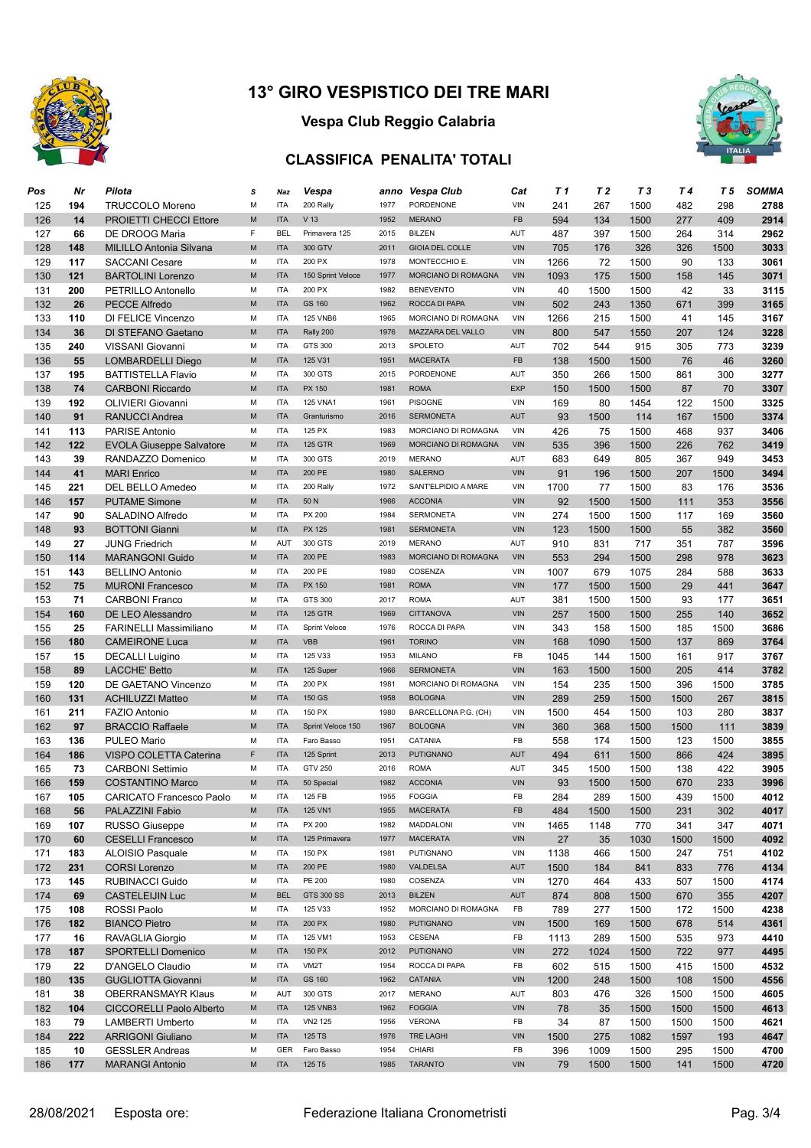

## **Vespa Club Reggio Calabria**

## **CLASSIFICA PENALITA' TOTALI**



| Pos | Nr  | Pilota                          | s | Naz        | Vespa              |              | anno Vespa Club        | Cat        | T 1  | T <sub>2</sub> | T 3  | T 4  | T 5  | <b>SOMMA</b> |
|-----|-----|---------------------------------|---|------------|--------------------|--------------|------------------------|------------|------|----------------|------|------|------|--------------|
| 125 | 194 | <b>TRUCCOLO Moreno</b>          | М | <b>ITA</b> | 200 Rally          | 1977         | PORDENONE              | VIN        | 241  | 267            | 1500 | 482  | 298  | 2788         |
| 126 | 14  | <b>PROIETTI CHECCI Ettore</b>   | M | <b>ITA</b> | V 13               | 1952         | <b>MERANO</b>          | FB         | 594  | 134            | 1500 | 277  | 409  | 2914         |
| 127 | 66  | DE DROOG Maria                  | F | <b>BEL</b> | Primavera 125      | 2015         | <b>BILZEN</b>          | AUT        | 487  | 397            | 1500 | 264  | 314  | 2962         |
| 128 | 148 | <b>MILILLO Antonia Silvana</b>  | M | <b>ITA</b> | 300 GTV            | 2011         | <b>GIOIA DEL COLLE</b> | <b>VIN</b> | 705  | 176            | 326  | 326  | 1500 | 3033         |
| 129 | 117 | <b>SACCANI Cesare</b>           | М | <b>ITA</b> | 200 PX             | 1978         | MONTECCHIO E.          | VIN        | 1266 | 72             | 1500 | 90   | 133  | 3061         |
| 130 | 121 | <b>BARTOLINI Lorenzo</b>        | M | <b>ITA</b> | 150 Sprint Veloce  | 1977         | MORCIANO DI ROMAGNA    | <b>VIN</b> | 1093 | 175            | 1500 | 158  | 145  | 3071         |
| 131 | 200 | PETRILLO Antonello              | М | <b>ITA</b> | 200 PX             | 1982         | <b>BENEVENTO</b>       | VIN        | 40   | 1500           | 1500 | 42   | 33   | 3115         |
| 132 | 26  | <b>PECCE Alfredo</b>            | M | <b>ITA</b> | GS 160             | 1962         | ROCCA DI PAPA          | <b>VIN</b> | 502  | 243            | 1350 | 671  | 399  | 3165         |
| 133 | 110 | <b>DI FELICE Vincenzo</b>       | M | <b>ITA</b> | <b>125 VNB6</b>    | 1965         | MORCIANO DI ROMAGNA    | VIN        | 1266 | 215            | 1500 | 41   | 145  | 3167         |
| 134 | 36  | DI STEFANO Gaetano              | M | <b>ITA</b> | Rally 200          | 1976         | MAZZARA DEL VALLO      | <b>VIN</b> | 800  | 547            | 1550 | 207  | 124  | 3228         |
|     |     |                                 | М | <b>ITA</b> | GTS 300            |              | SPOLETO                | AUT        |      |                |      |      |      | 3239         |
| 135 | 240 | VISSANI Giovanni                | M | <b>ITA</b> | 125 V31            | 2013<br>1951 | <b>MACERATA</b>        | FB         | 702  | 544            | 915  | 305  | 773  |              |
| 136 | 55  | <b>LOMBARDELLI Diego</b>        |   |            |                    |              |                        |            | 138  | 1500           | 1500 | 76   | 46   | 3260         |
| 137 | 195 | <b>BATTISTELLA Flavio</b>       | M | <b>ITA</b> | 300 GTS            | 2015         | PORDENONE              | AUT        | 350  | 266            | 1500 | 861  | 300  | 3277         |
| 138 | 74  | <b>CARBONI Riccardo</b>         | M | <b>ITA</b> | PX 150             | 1981         | <b>ROMA</b>            | <b>EXP</b> | 150  | 1500           | 1500 | 87   | 70   | 3307         |
| 139 | 192 | OLIVIERI Giovanni               | М | <b>ITA</b> | <b>125 VNA1</b>    | 1961         | <b>PISOGNE</b>         | VIN        | 169  | 80             | 1454 | 122  | 1500 | 3325         |
| 140 | 91  | <b>RANUCCI Andrea</b>           | M | <b>ITA</b> | Granturismo        | 2016         | <b>SERMONETA</b>       | <b>AUT</b> | 93   | 1500           | 114  | 167  | 1500 | 3374         |
| 141 | 113 | <b>PARISE Antonio</b>           | М | <b>ITA</b> | 125 PX             | 1983         | MORCIANO DI ROMAGNA    | <b>VIN</b> | 426  | 75             | 1500 | 468  | 937  | 3406         |
| 142 | 122 | <b>EVOLA Giuseppe Salvatore</b> | M | <b>ITA</b> | <b>125 GTR</b>     | 1969         | MORCIANO DI ROMAGNA    | VIN        | 535  | 396            | 1500 | 226  | 762  | 3419         |
| 143 | 39  | RANDAZZO Domenico               | М | <b>ITA</b> | 300 GTS            | 2019         | <b>MERANO</b>          | AUT        | 683  | 649            | 805  | 367  | 949  | 3453         |
| 144 | 41  | <b>MARI Enrico</b>              | M | <b>ITA</b> | 200 PE             | 1980         | <b>SALERNO</b>         | <b>VIN</b> | 91   | 196            | 1500 | 207  | 1500 | 3494         |
| 145 | 221 | DEL BELLO Amedeo                | М | <b>ITA</b> | 200 Rally          | 1972         | SANT'ELPIDIO A MARE    | VIN        | 1700 | 77             | 1500 | 83   | 176  | 3536         |
| 146 | 157 | <b>PUTAME Simone</b>            | M | <b>ITA</b> | 50 N               | 1966         | <b>ACCONIA</b>         | <b>VIN</b> | 92   | 1500           | 1500 | 111  | 353  | 3556         |
| 147 | 90  | SALADINO Alfredo                | M | <b>ITA</b> | PX 200             | 1984         | <b>SERMONETA</b>       | VIN        | 274  | 1500           | 1500 | 117  | 169  | 3560         |
| 148 | 93  | <b>BOTTONI Gianni</b>           | M | <b>ITA</b> | <b>PX 125</b>      | 1981         | <b>SERMONETA</b>       | <b>VIN</b> | 123  | 1500           | 1500 | 55   | 382  | 3560         |
| 149 | 27  | <b>JUNG Friedrich</b>           | M | AUT        | 300 GTS            | 2019         | <b>MERANO</b>          | AUT        | 910  | 831            | 717  | 351  | 787  | 3596         |
| 150 | 114 | <b>MARANGONI Guido</b>          | M | <b>ITA</b> | 200 PE             | 1983         | MORCIANO DI ROMAGNA    | <b>VIN</b> | 553  | 294            | 1500 | 298  | 978  | 3623         |
| 151 | 143 | <b>BELLINO Antonio</b>          | M | <b>ITA</b> | 200 PE             | 1980         | COSENZA                | VIN        | 1007 | 679            | 1075 | 284  | 588  | 3633         |
| 152 | 75  | <b>MURONI Francesco</b>         | M | <b>ITA</b> | PX 150             | 1981         | <b>ROMA</b>            | <b>VIN</b> | 177  | 1500           | 1500 | 29   | 441  | 3647         |
| 153 | 71  | <b>CARBONI Franco</b>           | М | <b>ITA</b> | GTS 300            | 2017         | <b>ROMA</b>            | AUT        | 381  | 1500           | 1500 | 93   | 177  | 3651         |
| 154 | 160 | DE LEO Alessandro               | M | <b>ITA</b> | <b>125 GTR</b>     | 1969         | <b>CITTANOVA</b>       | <b>VIN</b> | 257  | 1500           | 1500 | 255  | 140  | 3652         |
| 155 | 25  | <b>FARINELLI Massimiliano</b>   | М | <b>ITA</b> | Sprint Veloce      | 1976         | ROCCA DI PAPA          | VIN        | 343  | 158            | 1500 | 185  | 1500 | 3686         |
| 156 | 180 | <b>CAMEIRONE Luca</b>           | M | <b>ITA</b> | <b>VBB</b>         | 1961         | <b>TORINO</b>          | <b>VIN</b> | 168  | 1090           | 1500 | 137  | 869  | 3764         |
| 157 | 15  | <b>DECALLI Luigino</b>          | М | <b>ITA</b> | 125 V33            | 1953         | <b>MILANO</b>          | FB         | 1045 | 144            | 1500 | 161  | 917  | 3767         |
| 158 | 89  | <b>LACCHE' Betto</b>            | M | <b>ITA</b> | 125 Super          | 1966         | <b>SERMONETA</b>       | <b>VIN</b> | 163  | 1500           | 1500 | 205  | 414  | 3782         |
| 159 | 120 | DE GAETANO Vincenzo             | M | <b>ITA</b> | 200 PX             | 1981         | MORCIANO DI ROMAGNA    | VIN        | 154  | 235            | 1500 | 396  | 1500 | 3785         |
| 160 | 131 | <b>ACHILUZZI Matteo</b>         | M | <b>ITA</b> | 150 GS             | 1958         | <b>BOLOGNA</b>         | <b>VIN</b> | 289  | 259            | 1500 | 1500 | 267  | 3815         |
| 161 | 211 | <b>FAZIO Antonio</b>            | М | <b>ITA</b> | 150 PX             | 1980         | BARCELLONA P.G. (CH)   | VIN        | 1500 | 454            | 1500 | 103  | 280  | 3837         |
| 162 | 97  | <b>BRACCIO Raffaele</b>         | M | <b>ITA</b> | Sprint Veloce 150  | 1967         | <b>BOLOGNA</b>         | <b>VIN</b> | 360  | 368            | 1500 | 1500 | 111  | 3839         |
| 163 | 136 | PULEO Mario                     | M | <b>ITA</b> | Faro Basso         | 1951         | CATANIA                | FB         | 558  | 174            | 1500 | 123  | 1500 | 3855         |
| 164 | 186 | VISPO COLETTA Caterina          | F | <b>ITA</b> | 125 Sprint         | 2013         | <b>PUTIGNANO</b>       | <b>AUT</b> | 494  | 611            | 1500 | 866  | 424  | 3895         |
| 165 | 73  | <b>CARBONI Settimio</b>         | М | <b>ITA</b> | <b>GTV 250</b>     | 2016         | <b>ROMA</b>            | AUT        | 345  | 1500           | 1500 | 138  | 422  | 3905         |
| 166 | 159 | <b>COSTANTINO Marco</b>         | M | <b>ITA</b> | 50 Special         | 1982         | <b>ACCONIA</b>         | <b>VIN</b> | 93   | 1500           | 1500 | 670  | 233  | 3996         |
| 167 | 105 | CARICATO Francesco Paolo        | М | ITA        | 125 FB             | 1955         | <b>FOGGIA</b>          | FB         | 284  | 289            | 1500 | 439  | 1500 | 4012         |
| 168 | 56  | PALAZZINI Fabio                 | M | <b>ITA</b> | 125 VN1            | 1955         | <b>MACERATA</b>        | FB         | 484  | 1500           | 1500 | 231  | 302  | 4017         |
| 169 | 107 | <b>RUSSO Giuseppe</b>           | М | <b>ITA</b> | PX 200             | 1982         | MADDALONI              | VIN        | 1465 | 1148           | 770  | 341  | 347  | 4071         |
| 170 | 60  | <b>CESELLI Francesco</b>        | M | <b>ITA</b> | 125 Primavera      | 1977         | <b>MACERATA</b>        | <b>VIN</b> | 27   | 35             | 1030 | 1500 | 1500 | 4092         |
| 171 | 183 | <b>ALOISIO Pasquale</b>         | М | <b>ITA</b> | 150 PX             | 1981         | PUTIGNANO              | VIN        | 1138 | 466            | 1500 | 247  | 751  | 4102         |
| 172 | 231 | <b>CORSI Lorenzo</b>            | M | <b>ITA</b> | 200 PE             | 1980         | VALDELSA               | AUT        | 1500 | 184            | 841  | 833  | 776  | 4134         |
| 173 | 145 | RUBINACCI Guido                 | М | <b>ITA</b> | PE 200             | 1980         | COSENZA                | VIN        | 1270 | 464            | 433  | 507  | 1500 | 4174         |
| 174 | 69  | <b>CASTELEIJIN Luc</b>          | M | <b>BEL</b> | GTS 300 SS         | 2013         | <b>BILZEN</b>          | AUT        | 874  |                |      | 670  | 355  | 4207         |
| 175 | 108 | ROSSI Paolo                     | М | <b>ITA</b> | 125 V33            | 1952         | MORCIANO DI ROMAGNA    | FB         | 789  | 808            | 1500 |      |      | 4238         |
|     |     | <b>BIANCO Pietro</b>            | M | <b>ITA</b> | 200 PX             | 1980         | PUTIGNANO              | VIN        |      | 277            | 1500 | 172  | 1500 |              |
| 176 | 182 |                                 |   |            |                    |              |                        |            | 1500 | 169            | 1500 | 678  | 514  | 4361         |
| 177 | 16  | RAVAGLIA Giorgio                | М | <b>ITA</b> | 125 VM1            | 1953         | <b>CESENA</b>          | FB         | 1113 | 289            | 1500 | 535  | 973  | 4410         |
| 178 | 187 | <b>SPORTELLI Domenico</b>       | M | <b>ITA</b> | 150 PX             | 2012         | <b>PUTIGNANO</b>       | VIN        | 272  | 1024           | 1500 | 722  | 977  | 4495         |
| 179 | 22  | D'ANGELO Claudio                | М | <b>ITA</b> | VM <sub>2</sub> T  | 1954         | ROCCA DI PAPA          | FB         | 602  | 515            | 1500 | 415  | 1500 | 4532         |
| 180 | 135 | <b>GUGLIOTTA Giovanni</b>       | M | <b>ITA</b> | GS 160             | 1962         | CATANIA                | VIN        | 1200 | 248            | 1500 | 108  | 1500 | 4556         |
| 181 | 38  | <b>OBERRANSMAYR Klaus</b>       | М | AUT        | 300 GTS            | 2017         | <b>MERANO</b>          | AUT        | 803  | 476            | 326  | 1500 | 1500 | 4605         |
| 182 | 104 | <b>CICCORELLI Paolo Alberto</b> | M | <b>ITA</b> | <b>125 VNB3</b>    | 1962         | <b>FOGGIA</b>          | VIN        | 78   | 35             | 1500 | 1500 | 1500 | 4613         |
| 183 | 79  | <b>LAMBERTI Umberto</b>         | М | <b>ITA</b> | VN2 125            | 1956         | <b>VERONA</b>          | FB         | 34   | 87             | 1500 | 1500 | 1500 | 4621         |
| 184 | 222 | <b>ARRIGONI Giuliano</b>        | M | <b>ITA</b> | 125 TS             | 1976         | TRE LAGHI              | VIN        | 1500 | 275            | 1082 | 1597 | 193  | 4647         |
| 185 | 10  | <b>GESSLER Andreas</b>          | М | <b>GER</b> | Faro Basso         | 1954         | CHIARI                 | FB         | 396  | 1009           | 1500 | 295  | 1500 | 4700         |
| 186 | 177 | <b>MARANGI Antonio</b>          | M | <b>ITA</b> | 125 T <sub>5</sub> | 1985         | <b>TARANTO</b>         | VIN        | 79   | 1500           | 1500 | 141  | 1500 | 4720         |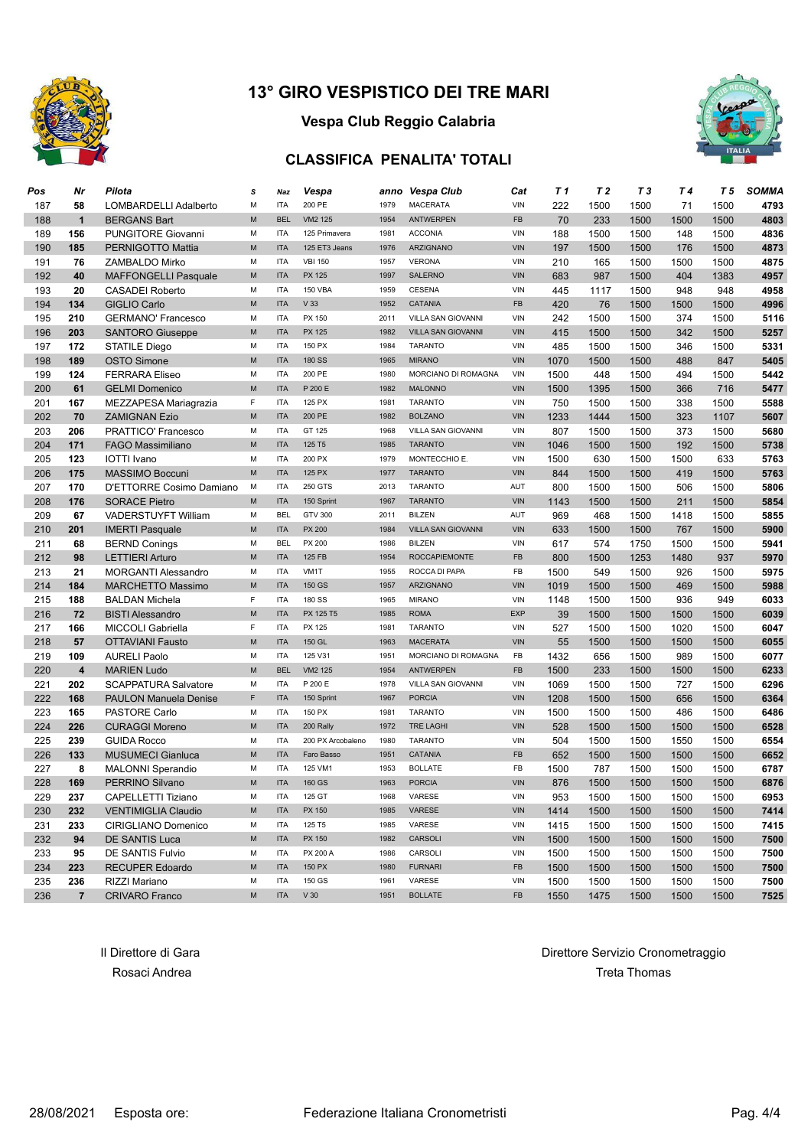

## **Vespa Club Reggio Calabria**

#### **CLASSIFICA PENALITA' TOTALI**



| Pos | Nr                      | Pilota                                           | s           | Naz                      | Vespa                   |      | anno Vespa Club           | Cat        | T 1  | T 2  | T 3  | T <sub>4</sub> | T 5  | <b>SOMMA</b> |
|-----|-------------------------|--------------------------------------------------|-------------|--------------------------|-------------------------|------|---------------------------|------------|------|------|------|----------------|------|--------------|
| 187 | 58                      | LOMBARDELLI Adalberto                            | М           | <b>ITA</b>               | 200 PE                  | 1979 | <b>MACERATA</b>           | VIN        | 222  | 1500 | 1500 | 71             | 1500 | 4793         |
| 188 | $\mathbf{1}$            | <b>BERGANS Bart</b>                              | M           | <b>BEL</b>               | VM2 125                 | 1954 | <b>ANTWERPEN</b>          | FB         | 70   | 233  | 1500 | 1500           | 1500 | 4803         |
| 189 | 156                     | <b>PUNGITORE Giovanni</b>                        | М           | <b>ITA</b>               | 125 Primavera           | 1981 | <b>ACCONIA</b>            | VIN        | 188  | 1500 | 1500 | 148            | 1500 | 4836         |
| 190 | 185                     | PERNIGOTTO Mattia                                | M           | <b>ITA</b>               | 125 ET3 Jeans           | 1976 | ARZIGNANO                 | <b>VIN</b> | 197  | 1500 | 1500 | 176            | 1500 | 4873         |
| 191 | 76                      | ZAMBALDO Mirko                                   | М           | <b>ITA</b>               | <b>VBI 150</b>          | 1957 | <b>VERONA</b>             | VIN        | 210  | 165  | 1500 | 1500           | 1500 | 4875         |
| 192 | 40                      | <b>MAFFONGELLI Pasquale</b>                      | M           | <b>ITA</b>               | <b>PX 125</b>           | 1997 | <b>SALERNO</b>            | <b>VIN</b> | 683  | 987  | 1500 | 404            | 1383 | 4957         |
| 193 | 20                      | <b>CASADEI Roberto</b>                           | М           | <b>ITA</b>               | <b>150 VBA</b>          | 1959 | <b>CESENA</b>             | VIN        | 445  | 1117 | 1500 | 948            | 948  | 4958         |
| 194 | 134                     | GIGLIO Carlo                                     | M           | <b>ITA</b>               | V33                     | 1952 | CATANIA                   | FB         | 420  | 76   | 1500 | 1500           | 1500 | 4996         |
| 195 | 210                     | <b>GERMANO' Francesco</b>                        | M           | <b>ITA</b>               | PX 150                  | 2011 | VILLA SAN GIOVANNI        | VIN        | 242  | 1500 | 1500 | 374            | 1500 | 5116         |
| 196 | 203                     | <b>SANTORO Giuseppe</b>                          | M           | <b>ITA</b>               | <b>PX 125</b>           | 1982 | <b>VILLA SAN GIOVANNI</b> | VIN        | 415  | 1500 | 1500 | 342            | 1500 | 5257         |
| 197 | 172                     | <b>STATILE Diego</b>                             | M           | <b>ITA</b>               | 150 PX                  | 1984 | <b>TARANTO</b>            | VIN        | 485  | 1500 | 1500 | 346            | 1500 | 5331         |
| 198 | 189                     | <b>OSTO Simone</b>                               | M           | <b>ITA</b>               | <b>180 SS</b>           | 1965 | <b>MIRANO</b>             | <b>VIN</b> | 1070 | 1500 | 1500 | 488            | 847  | 5405         |
| 199 | 124                     | <b>FERRARA Eliseo</b>                            | M           | <b>ITA</b>               | 200 PE                  | 1980 | MORCIANO DI ROMAGNA       | VIN        | 1500 | 448  | 1500 | 494            | 1500 | 5442         |
| 200 | 61                      | <b>GELMI Domenico</b>                            | M           | <b>ITA</b>               | P 200 E                 | 1982 | <b>MALONNO</b>            | <b>VIN</b> | 1500 | 1395 | 1500 | 366            | 716  | 5477         |
| 201 | 167                     | MEZZAPESA Mariagrazia                            | $\mathsf F$ | <b>ITA</b>               | 125 PX                  | 1981 | <b>TARANTO</b>            | VIN        | 750  | 1500 | 1500 | 338            | 1500 | 5588         |
| 202 | 70                      | <b>ZAMIGNAN Ezio</b>                             | M           | <b>ITA</b>               | 200 PE                  | 1982 | <b>BOLZANO</b>            | <b>VIN</b> | 1233 | 1444 | 1500 | 323            | 1107 | 5607         |
| 203 | 206                     | PRATTICO' Francesco                              | M           | <b>ITA</b>               | GT 125                  | 1968 | VILLA SAN GIOVANNI        | VIN        | 807  | 1500 | 1500 | 373            | 1500 | 5680         |
| 204 | 171                     | <b>FAGO Massimiliano</b>                         | M           | <b>ITA</b>               | 125 T <sub>5</sub>      | 1985 | <b>TARANTO</b>            | <b>VIN</b> | 1046 | 1500 | 1500 | 192            | 1500 | 5738         |
| 205 | 123                     | <b>IOTTI</b> Ivano                               | M           | <b>ITA</b>               | 200 PX                  | 1979 | MONTECCHIO E.             | VIN        | 1500 | 630  | 1500 | 1500           | 633  | 5763         |
| 206 | 175                     | <b>MASSIMO Boccuni</b>                           | M           | <b>ITA</b>               | 125 PX                  | 1977 | <b>TARANTO</b>            | <b>VIN</b> | 844  | 1500 | 1500 | 419            | 1500 | 5763         |
|     |                         |                                                  | М           | <b>ITA</b>               | 250 GTS                 | 2013 | <b>TARANTO</b>            | <b>AUT</b> |      |      |      |                |      |              |
| 207 | 170                     | D'ETTORRE Cosimo Damiano<br><b>SORACE Pietro</b> | M           | <b>ITA</b>               |                         | 1967 | <b>TARANTO</b>            | <b>VIN</b> | 800  | 1500 | 1500 | 506            | 1500 | 5806         |
| 208 | 176                     |                                                  | M           | <b>BEL</b>               | 150 Sprint<br>GTV 300   | 2011 | <b>BILZEN</b>             | AUT        | 1143 | 1500 | 1500 | 211            | 1500 | 5854         |
| 209 | 67                      | <b>VADERSTUYFT William</b>                       |             |                          |                         |      |                           |            | 969  | 468  | 1500 | 1418           | 1500 | 5855         |
| 210 | 201                     | <b>IMERTI Pasquale</b>                           | M           | <b>ITA</b><br><b>BEL</b> | <b>PX 200</b><br>PX 200 | 1984 | <b>VILLA SAN GIOVANNI</b> | <b>VIN</b> | 633  | 1500 | 1500 | 767            | 1500 | 5900         |
| 211 | 68                      | <b>BERND Conings</b>                             | М           |                          |                         | 1986 | <b>BILZEN</b>             | VIN        | 617  | 574  | 1750 | 1500           | 1500 | 5941         |
| 212 | 98                      | <b>LETTIERI Arturo</b>                           | M           | <b>ITA</b>               | 125 FB                  | 1954 | <b>ROCCAPIEMONTE</b>      | FB         | 800  | 1500 | 1253 | 1480           | 937  | 5970         |
| 213 | 21                      | <b>MORGANTI Alessandro</b>                       | М           | <b>ITA</b>               | VM <sub>1</sub> T       | 1955 | ROCCA DI PAPA             | FB         | 1500 | 549  | 1500 | 926            | 1500 | 5975         |
| 214 | 184                     | <b>MARCHETTO Massimo</b>                         | M           | <b>ITA</b>               | 150 GS                  | 1957 | ARZIGNANO                 | <b>VIN</b> | 1019 | 1500 | 1500 | 469            | 1500 | 5988         |
| 215 | 188                     | <b>BALDAN Michela</b>                            | $\mathsf F$ | <b>ITA</b>               | 180 SS                  | 1965 | <b>MIRANO</b>             | VIN        | 1148 | 1500 | 1500 | 936            | 949  | 6033         |
| 216 | 72                      | <b>BISTI Alessandro</b>                          | M           | <b>ITA</b>               | PX 125 T5               | 1985 | <b>ROMA</b>               | EXP        | 39   | 1500 | 1500 | 1500           | 1500 | 6039         |
| 217 | 166                     | <b>MICCOLI Gabriella</b>                         | F           | <b>ITA</b>               | PX 125                  | 1981 | <b>TARANTO</b>            | VIN        | 527  | 1500 | 1500 | 1020           | 1500 | 6047         |
| 218 | 57                      | <b>OTTAVIANI Fausto</b>                          | M           | <b>ITA</b>               | 150 GL                  | 1963 | <b>MACERATA</b>           | <b>VIN</b> | 55   | 1500 | 1500 | 1500           | 1500 | 6055         |
| 219 | 109                     | <b>AURELI Paolo</b>                              | M           | <b>ITA</b>               | 125 V31                 | 1951 | MORCIANO DI ROMAGNA       | FB         | 1432 | 656  | 1500 | 989            | 1500 | 6077         |
| 220 | $\overline{\mathbf{4}}$ | <b>MARIEN Ludo</b>                               | M           | <b>BEL</b>               | VM2 125                 | 1954 | <b>ANTWERPEN</b>          | <b>FB</b>  | 1500 | 233  | 1500 | 1500           | 1500 | 6233         |
| 221 | 202                     | <b>SCAPPATURA Salvatore</b>                      | M           | <b>ITA</b>               | P 200 E                 | 1978 | VILLA SAN GIOVANNI        | VIN        | 1069 | 1500 | 1500 | 727            | 1500 | 6296         |
| 222 | 168                     | <b>PAULON Manuela Denise</b>                     | F           | <b>ITA</b>               | 150 Sprint              | 1967 | <b>PORCIA</b>             | <b>VIN</b> | 1208 | 1500 | 1500 | 656            | 1500 | 6364         |
| 223 | 165                     | <b>PASTORE Carlo</b>                             | M           | <b>ITA</b>               | 150 PX                  | 1981 | <b>TARANTO</b>            | VIN        | 1500 | 1500 | 1500 | 486            | 1500 | 6486         |
| 224 | 226                     | <b>CURAGGI Moreno</b>                            | M           | <b>ITA</b>               | 200 Rally               | 1972 | <b>TRE LAGHI</b>          | <b>VIN</b> | 528  | 1500 | 1500 | 1500           | 1500 | 6528         |
| 225 | 239                     | <b>GUIDA Rocco</b>                               | M           | <b>ITA</b>               | 200 PX Arcobaleno       | 1980 | <b>TARANTO</b>            | VIN        | 504  | 1500 | 1500 | 1550           | 1500 | 6554         |
| 226 | 133                     | <b>MUSUMECI Gianluca</b>                         | M           | <b>ITA</b>               | Faro Basso              | 1951 | CATANIA                   | <b>FB</b>  | 652  | 1500 | 1500 | 1500           | 1500 | 6652         |
| 227 | 8                       | <b>MALONNI Sperandio</b>                         | M           | <b>ITA</b>               | 125 VM1                 | 1953 | <b>BOLLATE</b>            | FB         | 1500 | 787  | 1500 | 1500           | 1500 | 6787         |
| 228 | 169                     | PERRINO Silvano                                  | M           | <b>ITA</b>               | 160 GS                  | 1963 | <b>PORCIA</b>             | <b>VIN</b> | 876  | 1500 | 1500 | 1500           | 1500 | 6876         |
| 229 | 237                     | CAPELLETTI Tiziano                               | M           | ITA                      | 125 GT                  | 1968 | VARESE                    | VIN        | 953  | 1500 | 1500 | 1500           | 1500 | 6953         |
| 230 | 232                     | <b>VENTIMIGLIA Claudio</b>                       | M           | <b>ITA</b>               | PX 150                  | 1985 | VARESE                    | VIN        | 1414 | 1500 | 1500 | 1500           | 1500 | 7414         |
| 231 | 233                     | CIRIGLIANO Domenico                              | М           | <b>ITA</b>               | 125 T5                  | 1985 | VARESE                    | VIN        | 1415 | 1500 | 1500 | 1500           | 1500 | 7415         |
| 232 | 94                      | DE SANTIS Luca                                   | M           | <b>ITA</b>               | PX 150                  | 1982 | CARSOLI                   | VIN        | 1500 | 1500 | 1500 | 1500           | 1500 | 7500         |
| 233 | 95                      | DE SANTIS Fulvio                                 | М           | <b>ITA</b>               | PX 200 A                | 1986 | CARSOLI                   | VIN        | 1500 | 1500 | 1500 | 1500           | 1500 | 7500         |
| 234 | 223                     | <b>RECUPER Edoardo</b>                           | M           | <b>ITA</b>               | 150 PX                  | 1980 | <b>FURNARI</b>            | <b>FB</b>  | 1500 | 1500 | 1500 | 1500           | 1500 | 7500         |
| 235 | 236                     | RIZZI Mariano                                    | М           | <b>ITA</b>               | 150 GS                  | 1961 | VARESE                    | VIN        | 1500 | 1500 | 1500 | 1500           | 1500 | 7500         |
| 236 | $\overline{7}$          | <b>CRIVARO Franco</b>                            | М           | <b>ITA</b>               | V30                     | 1951 | <b>BOLLATE</b>            | FB         | 1550 | 1475 | 1500 | 1500           | 1500 | 7525         |

Il Direttore di Gara di Gara Direttore Servizio Cronometraggio Rosaci Andrea Treta Thomas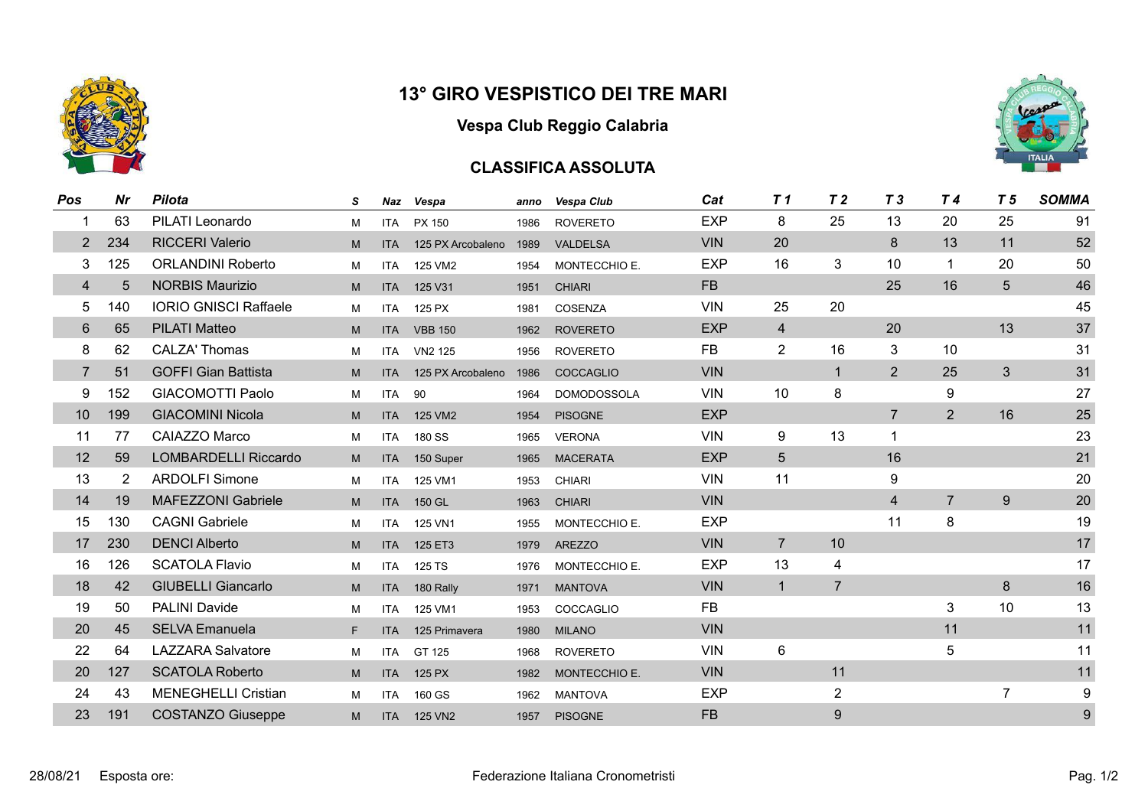

#### **Vespa Club Reggio Calabria**

#### **CLASSIFICA ASSOLUTA**



| Pos | Nr  | <b>Pilota</b>                | S  | Naz        | Vespa               | anno | Vespa Club         | Cat        | T <sub>1</sub> | T <sub>2</sub> | T <sub>3</sub> | T 4            | T <sub>5</sub> | <b>SOMMA</b> |
|-----|-----|------------------------------|----|------------|---------------------|------|--------------------|------------|----------------|----------------|----------------|----------------|----------------|--------------|
|     | 63  | PILATI Leonardo              | М  | <b>ITA</b> | PX 150              | 1986 | <b>ROVERETO</b>    | <b>EXP</b> | 8              | 25             | 13             | 20             | 25             | 91           |
| 2   | 234 | <b>RICCERI Valerio</b>       | M  | <b>ITA</b> | 125 PX Arcobaleno   | 1989 | <b>VALDELSA</b>    | <b>VIN</b> | 20             |                | 8              | 13             | 11             | 52           |
| 3   | 125 | <b>ORLANDINI Roberto</b>     | M  | <b>ITA</b> | 125 VM2             | 1954 | MONTECCHIO E.      | <b>EXP</b> | 16             | 3              | 10             | 1              | 20             | 50           |
| 4   | 5   | <b>NORBIS Maurizio</b>       | M  | <b>ITA</b> | 125 V31             | 1951 | <b>CHIARI</b>      | <b>FB</b>  |                |                | 25             | 16             | 5              | 46           |
| 5   | 140 | <b>IORIO GNISCI Raffaele</b> | М  | <b>ITA</b> | 125 PX              | 1981 | COSENZA            | <b>VIN</b> | 25             | 20             |                |                |                | 45           |
| 6   | 65  | <b>PILATI Matteo</b>         | M  | <b>ITA</b> | <b>VBB 150</b>      | 1962 | <b>ROVERETO</b>    | <b>EXP</b> | $\overline{4}$ |                | 20             |                | 13             | 37           |
| 8   | 62  | <b>CALZA' Thomas</b>         | M  | <b>ITA</b> | VN <sub>2</sub> 125 | 1956 | <b>ROVERETO</b>    | <b>FB</b>  | $\overline{2}$ | 16             | 3              | 10             |                | 31           |
| 7   | 51  | <b>GOFFI Gian Battista</b>   | M  | <b>ITA</b> | 125 PX Arcobaleno   | 1986 | COCCAGLIO          | <b>VIN</b> |                | $\mathbf{1}$   | 2              | 25             | 3              | 31           |
| 9   | 152 | <b>GIACOMOTTI Paolo</b>      | M  | <b>ITA</b> | 90                  | 1964 | <b>DOMODOSSOLA</b> | <b>VIN</b> | 10             | 8              |                | 9              |                | 27           |
| 10  | 199 | <b>GIACOMINI Nicola</b>      | M  | <b>ITA</b> | 125 VM2             | 1954 | <b>PISOGNE</b>     | <b>EXP</b> |                |                | $\overline{7}$ | 2              | 16             | 25           |
| 11  | 77  | CAIAZZO Marco                | M  | <b>ITA</b> | 180 SS              | 1965 | <b>VERONA</b>      | <b>VIN</b> | 9              | 13             | $\mathbf{1}$   |                |                | 23           |
| 12  | 59  | LOMBARDELLI Riccardo         | M  | <b>ITA</b> | 150 Super           | 1965 | <b>MACERATA</b>    | <b>EXP</b> | 5              |                | 16             |                |                | 21           |
| 13  | 2   | <b>ARDOLFI Simone</b>        | M  | ITA        | 125 VM1             | 1953 | <b>CHIARI</b>      | <b>VIN</b> | 11             |                | 9              |                |                | 20           |
| 14  | 19  | <b>MAFEZZONI Gabriele</b>    | M  | <b>ITA</b> | 150 GL              | 1963 | <b>CHIARI</b>      | <b>VIN</b> |                |                | $\overline{4}$ | $\overline{7}$ | 9              | 20           |
| 15  | 130 | <b>CAGNI Gabriele</b>        | M  | <b>ITA</b> | 125 VN1             | 1955 | MONTECCHIO E.      | <b>EXP</b> |                |                | 11             | 8              |                | 19           |
| 17  | 230 | <b>DENCI Alberto</b>         | M  | <b>ITA</b> | 125 ET3             | 1979 | <b>AREZZO</b>      | <b>VIN</b> | $\overline{7}$ | 10             |                |                |                | 17           |
| 16  | 126 | <b>SCATOLA Flavio</b>        | M  | ITA        | 125 TS              | 1976 | MONTECCHIO E.      | <b>EXP</b> | 13             | 4              |                |                |                | 17           |
| 18  | 42  | <b>GIUBELLI Giancarlo</b>    | M  |            | ITA 180 Rally       | 1971 | <b>MANTOVA</b>     | <b>VIN</b> | $\mathbf{1}$   | $\overline{7}$ |                |                | 8              | 16           |
| 19  | 50  | <b>PALINI Davide</b>         | M  | ITA        | 125 VM1             | 1953 | COCCAGLIO          | <b>FB</b>  |                |                |                | 3              | 10             | 13           |
| 20  | 45  | <b>SELVA Emanuela</b>        | F. | <b>ITA</b> | 125 Primavera       | 1980 | <b>MILANO</b>      | <b>VIN</b> |                |                |                | 11             |                | 11           |
| 22  | 64  | <b>LAZZARA Salvatore</b>     | M  | ITA        | GT 125              | 1968 | <b>ROVERETO</b>    | <b>VIN</b> | 6              |                |                | 5              |                | 11           |
| 20  | 127 | <b>SCATOLA Roberto</b>       | M  | <b>ITA</b> | 125 PX              | 1982 | MONTECCHIO E.      | <b>VIN</b> |                | 11             |                |                |                | 11           |
| 24  | 43  | <b>MENEGHELLI Cristian</b>   | М  | ITA        | 160 GS              | 1962 | <b>MANTOVA</b>     | <b>EXP</b> |                | $\overline{2}$ |                |                | $\overline{7}$ | 9            |
| 23  | 191 | <b>COSTANZO Giuseppe</b>     | M  | <b>ITA</b> | 125 VN2             | 1957 | <b>PISOGNE</b>     | <b>FB</b>  |                | 9              |                |                |                | 9            |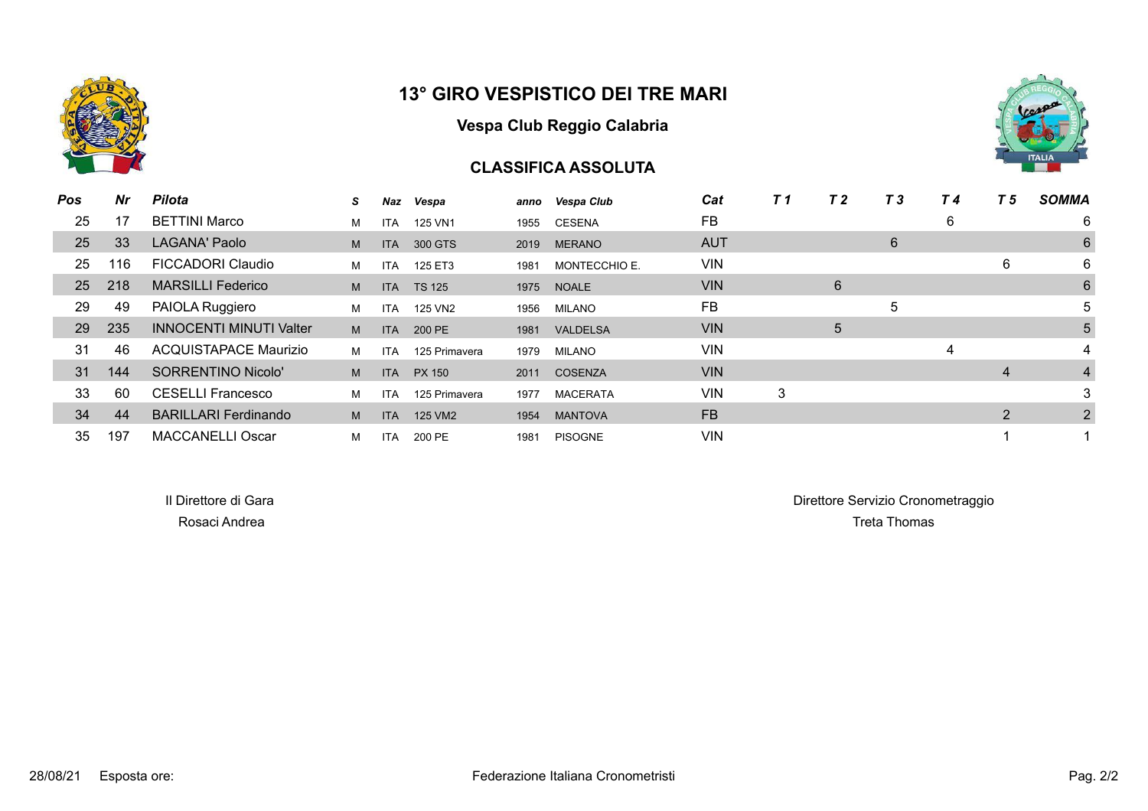

#### **Vespa Club Reggio Calabria**

#### **CLASSIFICA ASSOLUTA**



| <b>Pos</b> | Nr  | <b>Pilota</b>                  | S. | Naz        | Vespa         |      | anno Vespa Club | Cat        | T 1 | T <sub>2</sub> | T <sub>3</sub> | T 4 | T 5 | <b>SOMMA</b>   |
|------------|-----|--------------------------------|----|------------|---------------|------|-----------------|------------|-----|----------------|----------------|-----|-----|----------------|
| 25         | 17  | <b>BETTINI Marco</b>           | м  | <b>ITA</b> | 125 VN1       | 1955 | CESENA          | FB         |     |                |                | 6   |     | 6              |
| 25         | 33  | <b>LAGANA' Paolo</b>           | M  | <b>ITA</b> | 300 GTS       | 2019 | <b>MERANO</b>   | <b>AUT</b> |     |                | 6              |     |     | 6              |
| 25         | 116 | <b>FICCADORI Claudio</b>       | M  | <b>ITA</b> | 125 ET3       | 1981 | MONTECCHIO E.   | <b>VIN</b> |     |                |                |     | 6   | 6              |
| 25         | 218 | <b>MARSILLI Federico</b>       | M  | <b>ITA</b> | <b>TS 125</b> | 1975 | <b>NOALE</b>    | <b>VIN</b> |     | 6              |                |     |     | 6              |
| 29         | 49  | PAIOLA Ruggiero                | м  | <b>ITA</b> | 125 VN2       | 1956 | MILANO          | FB         |     |                | 5              |     |     | 5              |
| 29         | 235 | <b>INNOCENTI MINUTI Valter</b> | M  | <b>ITA</b> | 200 PE        | 1981 | <b>VALDELSA</b> | <b>VIN</b> |     | 5              |                |     |     | 5              |
| 31         | 46  | <b>ACQUISTAPACE Maurizio</b>   | M  | <b>ITA</b> | 125 Primavera | 1979 | MILANO          | <b>VIN</b> |     |                |                | 4   |     | 4              |
| 31         | 144 | <b>SORRENTINO Nicolo'</b>      | M  | <b>ITA</b> | PX 150        | 2011 | COSENZA         | <b>VIN</b> |     |                |                |     | 4   | $\overline{4}$ |
| 33         | 60  | <b>CESELLI Francesco</b>       | M  | <b>ITA</b> | 125 Primavera | 1977 | <b>MACERATA</b> | VIN        | 3   |                |                |     |     | 3              |
| 34         | 44  | <b>BARILLARI Ferdinando</b>    | M  | <b>ITA</b> | 125 VM2       | 1954 | <b>MANTOVA</b>  | FB.        |     |                |                |     | 2   | 2              |
| 35         | 197 | <b>MACCANELLI Oscar</b>        | м  | <b>ITA</b> | 200 PE        | 1981 | <b>PISOGNE</b>  | <b>VIN</b> |     |                |                |     |     |                |

Il Direttore di Gara di Gara Direttore di Gara Direttore Servizio Cronometraggio Rosaci Andrea Treta Thomas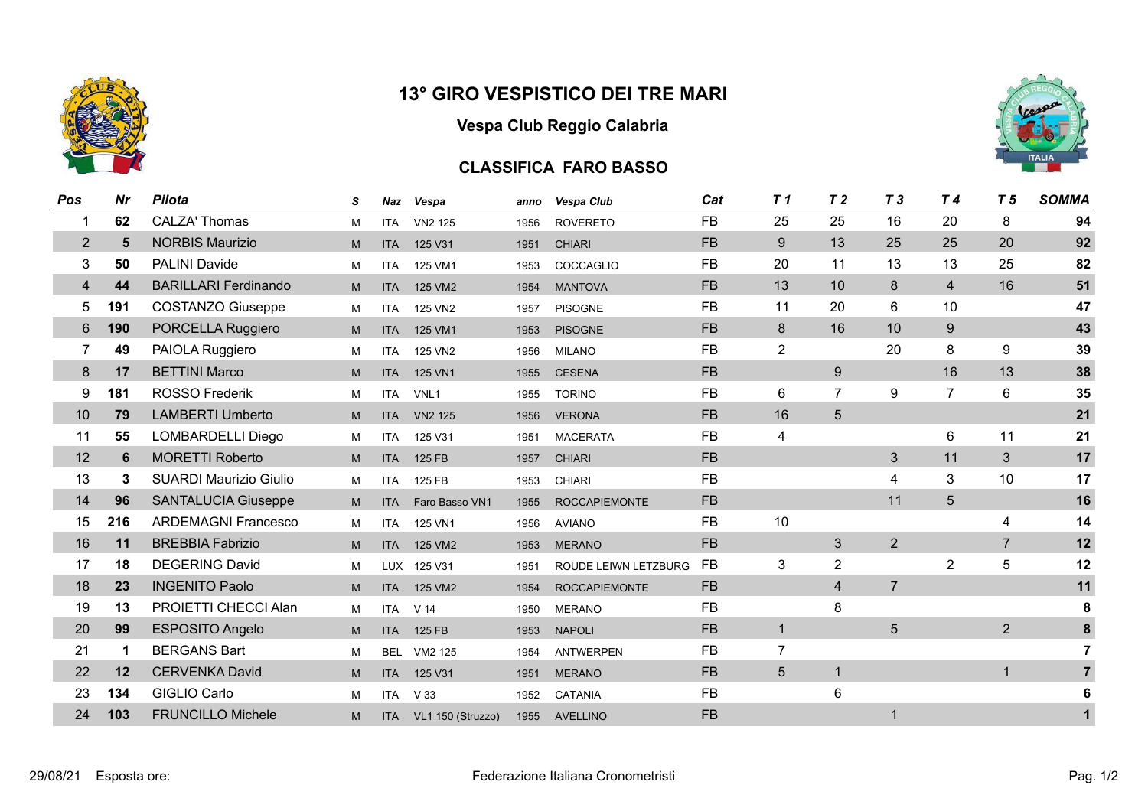

# **Vespa Club Reggio Calabria**

## **CLASSIFICA FARO BASSO**

| Pos            | Nr  | <b>Pilota</b>                 | S | Naz        | Vespa             | anno | Vespa Club           | Cat       | T <sub>1</sub>   | T <sub>2</sub>          | T <sub>3</sub> | T <sub>4</sub> | T <sub>5</sub> | <b>SOMMA</b>   |
|----------------|-----|-------------------------------|---|------------|-------------------|------|----------------------|-----------|------------------|-------------------------|----------------|----------------|----------------|----------------|
| 1              | 62  | <b>CALZA' Thomas</b>          | M | <b>ITA</b> | VN2 125           | 1956 | <b>ROVERETO</b>      | <b>FB</b> | 25               | 25                      | 16             | 20             | 8              | 94             |
| $\overline{2}$ | 5   | <b>NORBIS Maurizio</b>        | M | <b>ITA</b> | 125 V31           | 1951 | <b>CHIARI</b>        | <b>FB</b> | $\boldsymbol{9}$ | 13                      | 25             | 25             | 20             | 92             |
| 3              | 50  | <b>PALINI Davide</b>          | M | <b>ITA</b> | 125 VM1           | 1953 | COCCAGLIO            | <b>FB</b> | 20               | 11                      | 13             | 13             | 25             | 82             |
| 4              | 44  | <b>BARILLARI Ferdinando</b>   | M | <b>ITA</b> | 125 VM2           | 1954 | <b>MANTOVA</b>       | <b>FB</b> | 13               | 10                      | 8              | $\overline{4}$ | 16             | 51             |
| 5              | 191 | <b>COSTANZO Giuseppe</b>      | M | <b>ITA</b> | 125 VN2           | 1957 | <b>PISOGNE</b>       | <b>FB</b> | 11               | 20                      | 6              | 10             |                | 47             |
| 6              | 190 | PORCELLA Ruggiero             | M | <b>ITA</b> | 125 VM1           | 1953 | <b>PISOGNE</b>       | <b>FB</b> | 8                | 16                      | 10             | 9              |                | 43             |
| 7              | 49  | PAIOLA Ruggiero               | M | <b>ITA</b> | 125 VN2           | 1956 | <b>MILANO</b>        | <b>FB</b> | $\overline{2}$   |                         | 20             | 8              | 9              | 39             |
| 8              | 17  | <b>BETTINI Marco</b>          | M | <b>ITA</b> | 125 VN1           | 1955 | <b>CESENA</b>        | <b>FB</b> |                  | 9                       |                | 16             | 13             | 38             |
| 9              | 181 | <b>ROSSO Frederik</b>         | M | <b>ITA</b> | VNL <sub>1</sub>  | 1955 | <b>TORINO</b>        | <b>FB</b> | 6                | $\overline{7}$          | 9              | $\overline{7}$ | $6\phantom{1}$ | 35             |
| 10             | 79  | <b>LAMBERTI Umberto</b>       | M | <b>ITA</b> | <b>VN2 125</b>    | 1956 | <b>VERONA</b>        | <b>FB</b> | 16               | 5                       |                |                |                | 21             |
| 11             | 55  | <b>LOMBARDELLI Diego</b>      | M | <b>ITA</b> | 125 V31           | 1951 | <b>MACERATA</b>      | <b>FB</b> | 4                |                         |                | 6              | 11             | 21             |
| 12             | 6   | <b>MORETTI Roberto</b>        | M | <b>ITA</b> | 125 FB            | 1957 | <b>CHIARI</b>        | <b>FB</b> |                  |                         | 3              | 11             | 3              | 17             |
| 13             | 3   | <b>SUARDI Maurizio Giulio</b> | M | <b>ITA</b> | 125 FB            | 1953 | <b>CHIARI</b>        | <b>FB</b> |                  |                         | 4              | 3              | 10             | 17             |
| 14             | 96  | <b>SANTALUCIA Giuseppe</b>    | M | <b>ITA</b> | Faro Basso VN1    | 1955 | <b>ROCCAPIEMONTE</b> | <b>FB</b> |                  |                         | 11             | $5\phantom{.}$ |                | 16             |
| 15             | 216 | <b>ARDEMAGNI Francesco</b>    | M | <b>ITA</b> | 125 VN1           | 1956 | <b>AVIANO</b>        | <b>FB</b> | 10               |                         |                |                | 4              | 14             |
| 16             | 11  | <b>BREBBIA Fabrizio</b>       | M | <b>ITA</b> | 125 VM2           | 1953 | <b>MERANO</b>        | <b>FB</b> |                  | 3                       | $\overline{2}$ |                | $\overline{7}$ | 12             |
| 17             | 18  | <b>DEGERING David</b>         | M | <b>LUX</b> | 125 V31           | 1951 | ROUDE LEIWN LETZBURG | <b>FB</b> | 3                | $\overline{2}$          |                | $\overline{2}$ | 5              | 12             |
| 18             | 23  | <b>INGENITO Paolo</b>         | M | <b>ITA</b> | 125 VM2           | 1954 | <b>ROCCAPIEMONTE</b> | <b>FB</b> |                  | $\overline{\mathbf{4}}$ | $\overline{7}$ |                |                | 11             |
| 19             | 13  | PROIETTI CHECCI Alan          | M | <b>ITA</b> | V <sub>14</sub>   | 1950 | <b>MERANO</b>        | <b>FB</b> |                  | 8                       |                |                |                | 8              |
| 20             | 99  | <b>ESPOSITO Angelo</b>        | M | <b>ITA</b> | 125 FB            | 1953 | <b>NAPOLI</b>        | <b>FB</b> | $\mathbf{1}$     |                         | 5              |                | 2              | 8              |
| 21             | 1   | <b>BERGANS Bart</b>           | M | BEL.       | VM2 125           | 1954 | <b>ANTWERPEN</b>     | <b>FB</b> | $\overline{7}$   |                         |                |                |                | $\overline{7}$ |
| 22             | 12  | <b>CERVENKA David</b>         | M | <b>ITA</b> | 125 V31           | 1951 | <b>MERANO</b>        | <b>FB</b> | 5                | $\mathbf{1}$            |                |                | $\mathbf 1$    | $\overline{7}$ |
| 23             | 134 | <b>GIGLIO Carlo</b>           | м | <b>ITA</b> | V <sub>33</sub>   | 1952 | <b>CATANIA</b>       | <b>FB</b> |                  | 6                       |                |                |                |                |
| 24             | 103 | <b>FRUNCILLO Michele</b>      | M | <b>ITA</b> | VL1 150 (Struzzo) | 1955 | <b>AVELLINO</b>      | <b>FB</b> |                  |                         |                |                |                |                |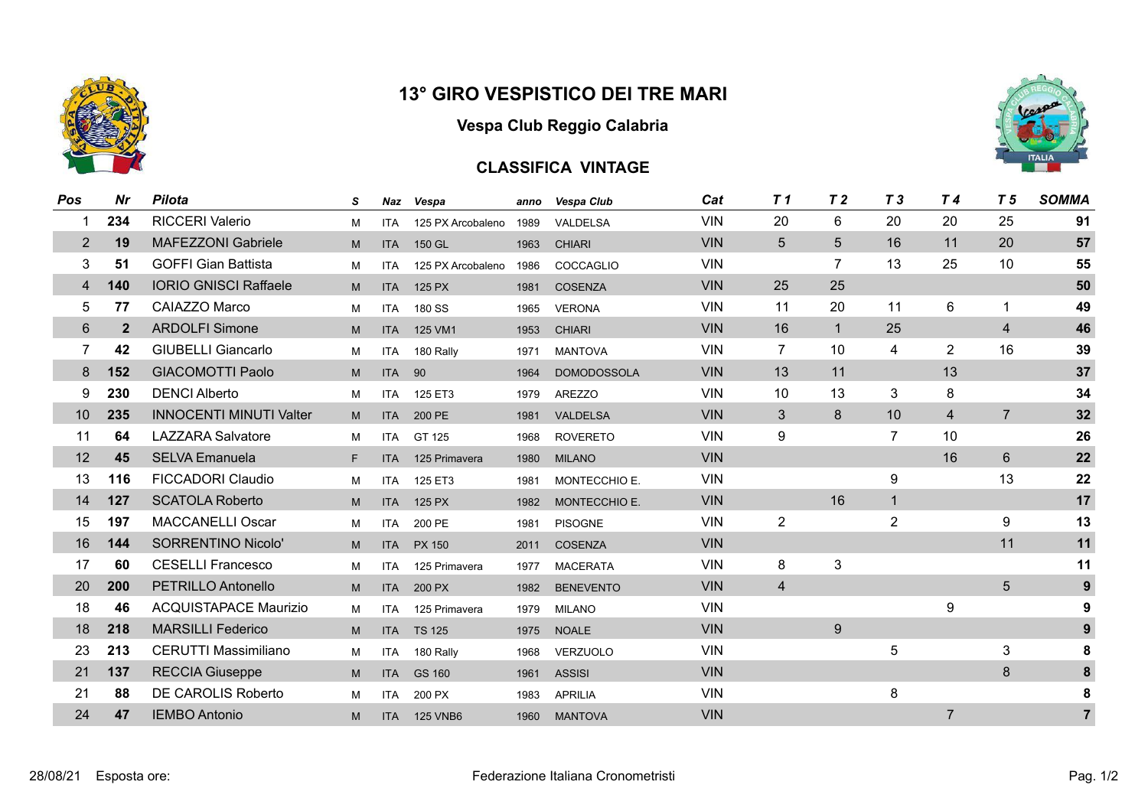

**Vespa Club Reggio Calabria**

## **CLASSIFICA VINTAGE**



| Pos             | Nr           | <b>Pilota</b>                  | s | Naz        | Vespa             | anno | <b>Vespa Club</b>  | Cat        | T <sub>1</sub> | T <sub>2</sub> | T <sub>3</sub> | T4             | T 5            | <b>SOMMA</b>   |
|-----------------|--------------|--------------------------------|---|------------|-------------------|------|--------------------|------------|----------------|----------------|----------------|----------------|----------------|----------------|
|                 | 234          | <b>RICCERI Valerio</b>         | M | <b>ITA</b> | 125 PX Arcobaleno | 1989 | VALDELSA           | <b>VIN</b> | 20             | 6              | 20             | 20             | 25             | 91             |
| 2               | 19           | <b>MAFEZZONI Gabriele</b>      | M | <b>ITA</b> | 150 GL            | 1963 | <b>CHIARI</b>      | <b>VIN</b> | 5              | 5              | 16             | 11             | 20             | 57             |
| 3               | 51           | <b>GOFFI Gian Battista</b>     | M | <b>ITA</b> | 125 PX Arcobaleno | 1986 | COCCAGLIO          | <b>VIN</b> |                | $\overline{7}$ | 13             | 25             | 10             | 55             |
| 4               | 140          | <b>IORIO GNISCI Raffaele</b>   | M | <b>ITA</b> | 125 PX            | 1981 | <b>COSENZA</b>     | <b>VIN</b> | 25             | 25             |                |                |                | 50             |
| 5               | 77           | CAIAZZO Marco                  | M | <b>ITA</b> | 180 SS            | 1965 | <b>VERONA</b>      | <b>VIN</b> | 11             | 20             | 11             | 6              | 1              | 49             |
| $6\phantom{1}6$ | $\mathbf{2}$ | <b>ARDOLFI Simone</b>          | M | <b>ITA</b> | 125 VM1           | 1953 | <b>CHIARI</b>      | <b>VIN</b> | 16             | $\mathbf{1}$   | 25             |                | $\overline{4}$ | 46             |
| $\overline{7}$  | 42           | <b>GIUBELLI Giancarlo</b>      | M | <b>ITA</b> | 180 Rally         | 1971 | <b>MANTOVA</b>     | <b>VIN</b> | $\overline{7}$ | 10             | 4              | $\overline{2}$ | 16             | 39             |
| 8               | 152          | <b>GIACOMOTTI Paolo</b>        | M | <b>ITA</b> | 90                | 1964 | <b>DOMODOSSOLA</b> | <b>VIN</b> | 13             | 11             |                | 13             |                | 37             |
| 9               | 230          | <b>DENCI Alberto</b>           | M | <b>ITA</b> | 125 ET3           | 1979 | <b>AREZZO</b>      | <b>VIN</b> | 10             | 13             | 3              | 8              |                | 34             |
| 10              | 235          | <b>INNOCENTI MINUTI Valter</b> | M | <b>ITA</b> | 200 PE            | 1981 | <b>VALDELSA</b>    | <b>VIN</b> | 3              | 8              | 10             | 4              | $\overline{7}$ | 32             |
| 11              | 64           | <b>LAZZARA Salvatore</b>       | M | <b>ITA</b> | GT 125            | 1968 | <b>ROVERETO</b>    | <b>VIN</b> | 9              |                | $\overline{7}$ | 10             |                | 26             |
| 12              | 45           | <b>SELVA Emanuela</b>          | F | <b>ITA</b> | 125 Primavera     | 1980 | <b>MILANO</b>      | <b>VIN</b> |                |                |                | 16             | 6              | 22             |
| 13              | 116          | <b>FICCADORI Claudio</b>       | M | <b>ITA</b> | 125 ET3           | 1981 | MONTECCHIO E.      | <b>VIN</b> |                |                | 9              |                | 13             | 22             |
| 14              | 127          | <b>SCATOLA Roberto</b>         | M | <b>ITA</b> | 125 PX            | 1982 | MONTECCHIO E.      | <b>VIN</b> |                | 16             | $\mathbf 1$    |                |                | 17             |
| 15              | 197          | <b>MACCANELLI Oscar</b>        | M | <b>ITA</b> | 200 PE            | 1981 | <b>PISOGNE</b>     | <b>VIN</b> | $\overline{2}$ |                | $\overline{2}$ |                | 9              | 13             |
| 16              | 144          | <b>SORRENTINO Nicolo'</b>      | M | <b>ITA</b> | PX 150            | 2011 | <b>COSENZA</b>     | <b>VIN</b> |                |                |                |                | 11             | 11             |
| 17              | 60           | <b>CESELLI Francesco</b>       | M | <b>ITA</b> | 125 Primavera     | 1977 | <b>MACERATA</b>    | <b>VIN</b> | 8              | 3              |                |                |                | 11             |
| 20              | 200          | PETRILLO Antonello             | M | <b>ITA</b> | 200 PX            | 1982 | <b>BENEVENTO</b>   | <b>VIN</b> | $\overline{4}$ |                |                |                | 5              | 9              |
| 18              | 46           | <b>ACQUISTAPACE Maurizio</b>   | M | <b>ITA</b> | 125 Primavera     | 1979 | <b>MILANO</b>      | <b>VIN</b> |                |                |                | 9              |                | 9              |
| 18              | 218          | <b>MARSILLI Federico</b>       | M | <b>ITA</b> | <b>TS 125</b>     | 1975 | <b>NOALE</b>       | <b>VIN</b> |                | 9              |                |                |                | 9              |
| 23              | 213          | <b>CERUTTI Massimiliano</b>    | M | <b>ITA</b> | 180 Rally         | 1968 | <b>VERZUOLO</b>    | <b>VIN</b> |                |                | 5              |                | 3              | 8              |
| 21              | 137          | <b>RECCIA Giuseppe</b>         | M | <b>ITA</b> | GS 160            | 1961 | <b>ASSISI</b>      | <b>VIN</b> |                |                |                |                | 8              | $\pmb{8}$      |
| 21              | 88           | DE CAROLIS Roberto             | м | <b>ITA</b> | 200 PX            | 1983 | <b>APRILIA</b>     | <b>VIN</b> |                |                | 8              |                |                | 8              |
| 24              | 47           | <b>IEMBO Antonio</b>           | M | <b>ITA</b> | <b>125 VNB6</b>   | 1960 | <b>MANTOVA</b>     | <b>VIN</b> |                |                |                | $\overline{7}$ |                | $\overline{7}$ |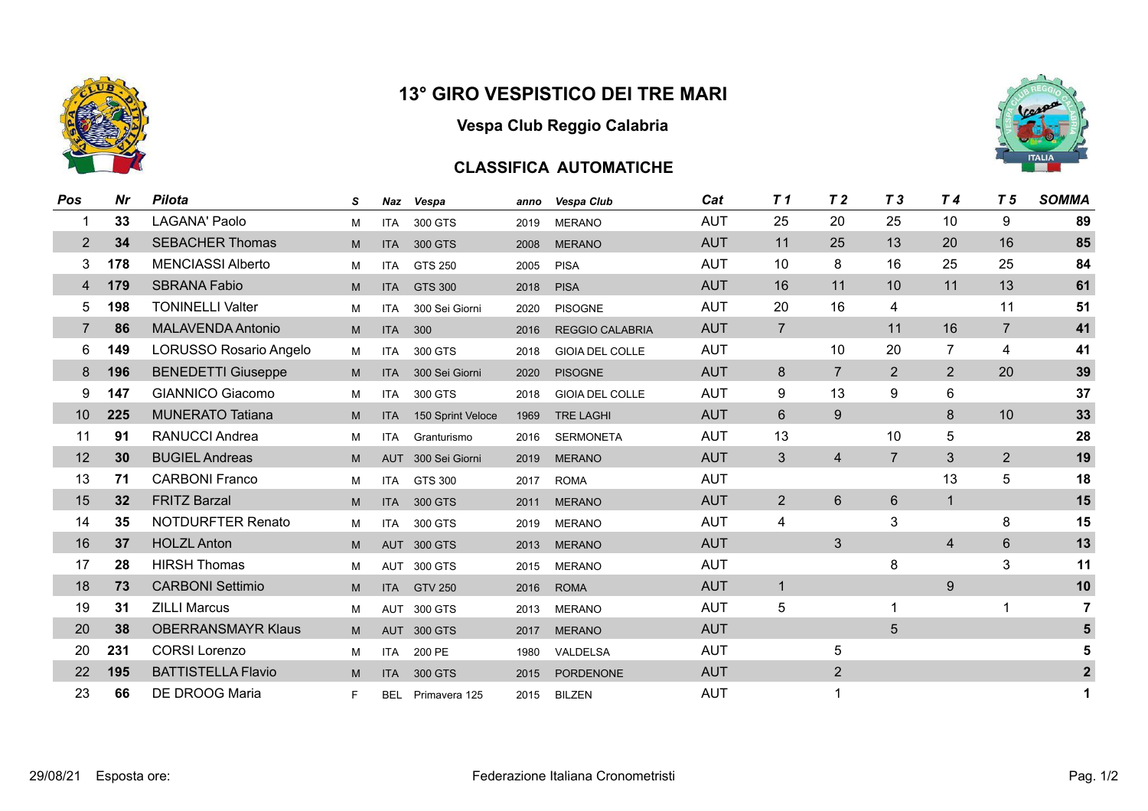



## **CLASSIFICA AUTOMATICHE**



| Pos            | Nr  | <b>Pilota</b>             | S | Naz        | Vespa              | anno | <b>Vespa Club</b>      | Cat        | T <sub>1</sub> | T <sub>2</sub> | T <sub>3</sub> | T 4            | T 5             | <b>SOMMA</b>   |
|----------------|-----|---------------------------|---|------------|--------------------|------|------------------------|------------|----------------|----------------|----------------|----------------|-----------------|----------------|
| 1              | 33  | LAGANA' Paolo             | M | <b>ITA</b> | 300 GTS            | 2019 | <b>MERANO</b>          | <b>AUT</b> | 25             | 20             | 25             | 10             | 9               | 89             |
| $\overline{2}$ | 34  | <b>SEBACHER Thomas</b>    | M | <b>ITA</b> | 300 GTS            | 2008 | <b>MERANO</b>          | <b>AUT</b> | 11             | 25             | 13             | 20             | 16              | 85             |
| 3              | 178 | <b>MENCIASSI Alberto</b>  | M | <b>ITA</b> | GTS 250            | 2005 | <b>PISA</b>            | <b>AUT</b> | 10             | 8              | 16             | 25             | 25              | 84             |
| 4              | 179 | <b>SBRANA Fabio</b>       | M | <b>ITA</b> | GTS 300            | 2018 | <b>PISA</b>            | <b>AUT</b> | 16             | 11             | 10             | 11             | 13              | 61             |
| 5              | 198 | <b>TONINELLI Valter</b>   | М | <b>ITA</b> | 300 Sei Giorni     | 2020 | <b>PISOGNE</b>         | <b>AUT</b> | 20             | 16             | 4              |                | 11              | 51             |
| $\overline{7}$ | 86  | <b>MALAVENDA Antonio</b>  | M | <b>ITA</b> | 300                | 2016 | <b>REGGIO CALABRIA</b> | <b>AUT</b> | $\overline{7}$ |                | 11             | 16             | $\overline{7}$  | 41             |
| 6              | 149 | LORUSSO Rosario Angelo    | M | <b>ITA</b> | 300 GTS            | 2018 | <b>GIOIA DEL COLLE</b> | <b>AUT</b> |                | 10             | 20             | 7              | 4               | 41             |
| 8              | 196 | <b>BENEDETTI Giuseppe</b> | M | <b>ITA</b> | 300 Sei Giorni     | 2020 | <b>PISOGNE</b>         | <b>AUT</b> | 8              | $\overline{7}$ | $\overline{2}$ | 2              | 20              | 39             |
| 9              | 147 | <b>GIANNICO Giacomo</b>   | М | <b>ITA</b> | 300 GTS            | 2018 | <b>GIOIA DEL COLLE</b> | <b>AUT</b> | 9              | 13             | 9              | 6              |                 | 37             |
| 10             | 225 | <b>MUNERATO Tatiana</b>   | M | <b>ITA</b> | 150 Sprint Veloce  | 1969 | <b>TRE LAGHI</b>       | <b>AUT</b> | $6\phantom{.}$ | 9              |                | 8              | 10              | 33             |
| 11             | 91  | RANUCCI Andrea            | М | <b>ITA</b> | Granturismo        | 2016 | <b>SERMONETA</b>       | <b>AUT</b> | 13             |                | 10             | 5              |                 | 28             |
| 12             | 30  | <b>BUGIEL Andreas</b>     | M |            | AUT 300 Sei Giorni | 2019 | <b>MERANO</b>          | <b>AUT</b> | 3              | $\overline{4}$ | $\overline{7}$ | 3              | 2               | 19             |
| 13             | 71  | <b>CARBONI Franco</b>     | М | <b>ITA</b> | GTS 300            | 2017 | <b>ROMA</b>            | <b>AUT</b> |                |                |                | 13             | 5               | 18             |
| 15             | 32  | <b>FRITZ Barzal</b>       | M | <b>ITA</b> | 300 GTS            | 2011 | <b>MERANO</b>          | <b>AUT</b> | $\overline{2}$ | 6              | $6\phantom{1}$ | $\mathbf{1}$   |                 | 15             |
| 14             | 35  | <b>NOTDURFTER Renato</b>  | M | <b>ITA</b> | 300 GTS            | 2019 | <b>MERANO</b>          | <b>AUT</b> | 4              |                | 3              |                | 8               | 15             |
| 16             | 37  | <b>HOLZL Anton</b>        | M | <b>AUT</b> | 300 GTS            | 2013 | <b>MERANO</b>          | <b>AUT</b> |                | 3              |                | $\overline{4}$ | $6\phantom{1}6$ | 13             |
| 17             | 28  | <b>HIRSH Thomas</b>       | м | AUT        | 300 GTS            | 2015 | <b>MERANO</b>          | <b>AUT</b> |                |                | 8              |                | 3               | 11             |
| 18             | 73  | <b>CARBONI Settimio</b>   | M | <b>ITA</b> | <b>GTV 250</b>     | 2016 | <b>ROMA</b>            | <b>AUT</b> | $\mathbf{1}$   |                |                | 9              |                 | 10             |
| 19             | 31  | <b>ZILLI Marcus</b>       | м |            | AUT 300 GTS        | 2013 | <b>MERANO</b>          | <b>AUT</b> | 5              |                | -1             |                |                 | $\overline{7}$ |
| 20             | 38  | <b>OBERRANSMAYR Klaus</b> | M |            | AUT 300 GTS        | 2017 | <b>MERANO</b>          | <b>AUT</b> |                |                | $5\phantom{.}$ |                |                 | 5              |
| 20             | 231 | <b>CORSI Lorenzo</b>      | М | <b>ITA</b> | 200 PE             | 1980 | VALDELSA               | <b>AUT</b> |                | 5              |                |                |                 | 5              |
| 22             | 195 | <b>BATTISTELLA Flavio</b> | M | <b>ITA</b> | 300 GTS            | 2015 | PORDENONE              | <b>AUT</b> |                | $\overline{2}$ |                |                |                 | $\mathbf{2}$   |
| 23             | 66  | DE DROOG Maria            | F | BEL        | Primavera 125      | 2015 | <b>BILZEN</b>          | <b>AUT</b> |                | 1              |                |                |                 | $\mathbf 1$    |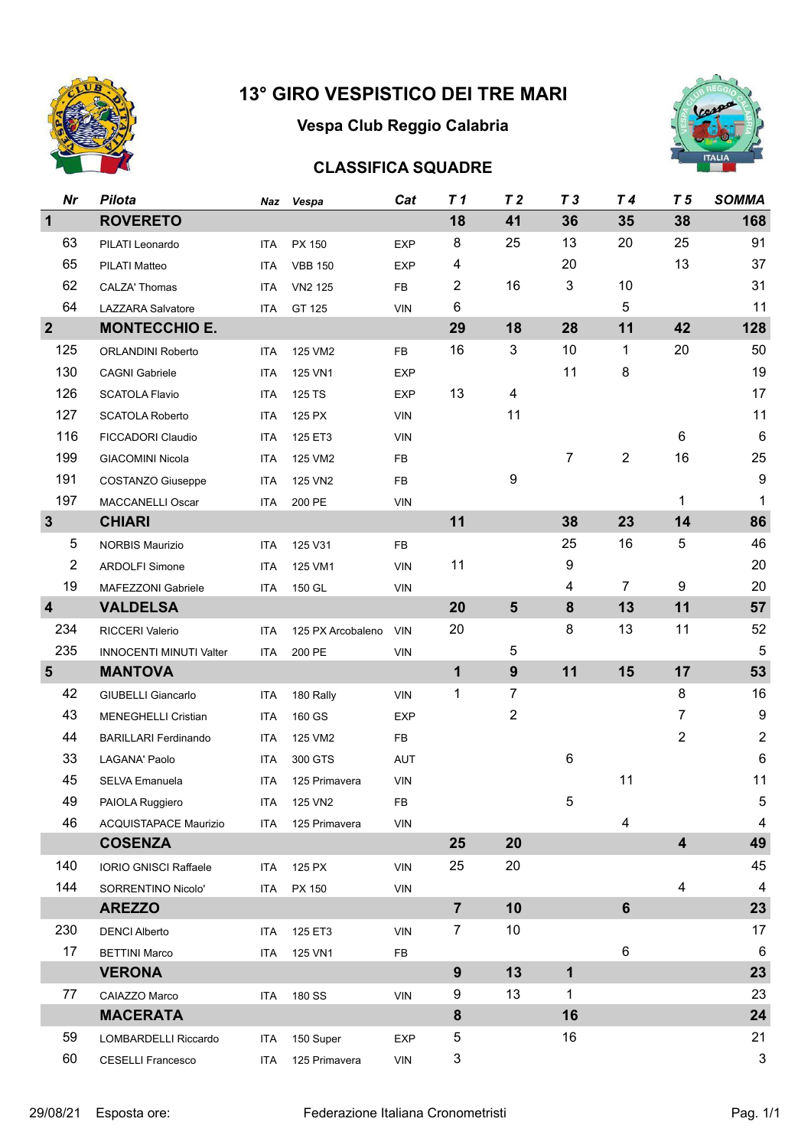

# **Vespa Club Reggio Calabria**



## **CLASSIFICA SQUADRE**

| <b>Nr</b>               | <b>Pilota</b>                  | Naz        | Vespa             | Cat        | T <sub>1</sub> | T <sub>2</sub> | T <sub>3</sub> | T <sub>4</sub> | T <sub>5</sub>          | <b>SOMMA</b>              |
|-------------------------|--------------------------------|------------|-------------------|------------|----------------|----------------|----------------|----------------|-------------------------|---------------------------|
| $\mathbf{1}$            | <b>ROVERETO</b>                |            |                   |            | 18             | 41             | 36             | 35             | 38                      | 168                       |
| 63                      | PILATI Leonardo                | ITA        | PX 150            | <b>EXP</b> | 8              | 25             | 13             | 20             | 25                      | 91                        |
| 65                      | <b>PILATI Matteo</b>           | <b>ITA</b> | <b>VBB 150</b>    | <b>EXP</b> | 4              |                | 20             |                | 13                      | 37                        |
| 62                      | CALZA' Thomas                  | ITA        | VN2 125           | FB         | $\overline{2}$ | 16             | 3              | 10             |                         | 31                        |
| 64                      | <b>LAZZARA Salvatore</b>       | ITA        | GT 125            | <b>VIN</b> | 6              |                |                | 5              |                         | 11                        |
| $\overline{2}$          | <b>MONTECCHIO E.</b>           |            |                   |            | 29             | 18             | 28             | 11             | 42                      | 128                       |
| 125                     | ORLANDINI Roberto              | <b>ITA</b> | 125 VM2           | <b>FB</b>  | 16             | 3              | 10             | 1              | 20                      | 50                        |
| 130                     | <b>CAGNI Gabriele</b>          | ITA        | 125 VN1           | <b>EXP</b> |                |                | 11             | 8              |                         | 19                        |
| 126                     | <b>SCATOLA Flavio</b>          | <b>ITA</b> | 125 TS            | <b>EXP</b> | 13             | 4              |                |                |                         | 17                        |
| 127                     | <b>SCATOLA Roberto</b>         | <b>ITA</b> | 125 PX            | <b>VIN</b> |                | 11             |                |                |                         | 11                        |
| 116                     | FICCADORI Claudio              | <b>ITA</b> | 125 ET3           | <b>VIN</b> |                |                |                |                | $6\phantom{1}$          | $\,6$                     |
| 199                     | <b>GIACOMINI Nicola</b>        | <b>ITA</b> | 125 VM2           | FB         |                |                | $\overline{7}$ | $\overline{2}$ | 16                      | 25                        |
| 191                     | <b>COSTANZO Giuseppe</b>       | <b>ITA</b> | 125 VN2           | <b>FB</b>  |                | 9              |                |                |                         | $\boldsymbol{9}$          |
| 197                     | MACCANELLI Oscar               | <b>ITA</b> | 200 PE            | <b>VIN</b> |                |                |                |                | 1                       | 1                         |
| $\mathbf{3}$            | <b>CHIARI</b>                  |            |                   |            | 11             |                | 38             | 23             | 14                      | 86                        |
| 5                       | <b>NORBIS Maurizio</b>         | <b>ITA</b> | 125 V31           | <b>FB</b>  |                |                | 25             | 16             | 5                       | 46                        |
| $\overline{2}$          | <b>ARDOLFI Simone</b>          | <b>ITA</b> | 125 VM1           | <b>VIN</b> | 11             |                | 9              |                |                         | 20                        |
| 19                      | MAFEZZONI Gabriele             | ITA        | 150 GL            | <b>VIN</b> |                |                | 4              | $\overline{7}$ | 9                       | 20                        |
| $\overline{\mathbf{4}}$ | <b>VALDELSA</b>                |            |                   |            | 20             | $5\phantom{1}$ | 8              | 13             | 11                      | 57                        |
| 234                     | RICCERI Valerio                | <b>ITA</b> | 125 PX Arcobaleno | <b>VIN</b> | 20             |                | 8              | 13             | 11                      | 52                        |
| 235                     | <b>INNOCENTI MINUTI Valter</b> | ITA        | 200 PE            | <b>VIN</b> |                | 5              |                |                |                         | $\overline{5}$            |
| $5\phantom{1}$          | <b>MANTOVA</b>                 |            |                   |            | $\mathbf{1}$   | 9              | 11             | 15             | 17                      | 53                        |
| 42                      | <b>GIUBELLI Giancarlo</b>      | <b>ITA</b> | 180 Rally         | <b>VIN</b> | 1              | $\overline{7}$ |                |                | 8                       | 16                        |
| 43                      | MENEGHELLI Cristian            | <b>ITA</b> | 160 GS            | <b>EXP</b> |                | $\overline{2}$ |                |                | $\overline{7}$          | $\boldsymbol{9}$          |
| 44                      | <b>BARILLARI Ferdinando</b>    | <b>ITA</b> | 125 VM2           | <b>FB</b>  |                |                |                |                | $\overline{2}$          | $\sqrt{2}$                |
| 33                      | LAGANA' Paolo                  | <b>ITA</b> | 300 GTS           | AUT        |                |                | 6              |                |                         | $\,6$                     |
| 45                      | SELVA Emanuela                 | ITA        | 125 Primavera     | <b>VIN</b> |                |                |                | 11             |                         | 11                        |
| 49                      | PAIOLA Ruggiero                |            | ITA 125 VN2       | FB.        |                |                | 5              |                |                         | 5                         |
| 46                      | ACQUISTAPACE Maurizio          |            | ITA 125 Primavera | <b>VIN</b> |                |                |                | 4              |                         | $\overline{4}$            |
|                         | <b>COSENZA</b>                 |            |                   |            | 25             | 20             |                |                | $\overline{\mathbf{4}}$ | 49                        |
| 140                     | IORIO GNISCI Raffaele          | ITA        | 125 PX            | <b>VIN</b> | 25             | 20             |                |                |                         | 45                        |
| 144                     | SORRENTINO Nicolo'             | ITA        | PX 150            | <b>VIN</b> |                |                |                |                | 4                       | $\overline{4}$            |
|                         | <b>AREZZO</b>                  |            |                   |            | $\overline{7}$ | 10             |                | $6\phantom{1}$ |                         | 23                        |
| 230                     | <b>DENCI Alberto</b>           | ITA.       | 125 ET3           | <b>VIN</b> | 7              | 10             |                |                |                         | 17                        |
| 17                      | <b>BETTINI Marco</b>           | ITA        | 125 VN1           | FB         |                |                |                | 6              |                         | $6\phantom{1}6$           |
|                         | <b>VERONA</b>                  |            |                   |            | 9              | 13             | $\mathbf{1}$   |                |                         | 23                        |
| 77                      | CAIAZZO Marco                  |            | ITA 180 SS        | <b>VIN</b> | 9              | 13             | 1              |                |                         | 23                        |
|                         | <b>MACERATA</b>                |            |                   |            | 8              |                | 16             |                |                         | 24                        |
| 59                      | LOMBARDELLI Riccardo           | ITA        | 150 Super         | <b>EXP</b> | 5              |                | 16             |                |                         | 21                        |
| 60                      | <b>CESELLI Francesco</b>       | ITA        | 125 Primavera     | VIN        | 3              |                |                |                |                         | $\ensuremath{\mathsf{3}}$ |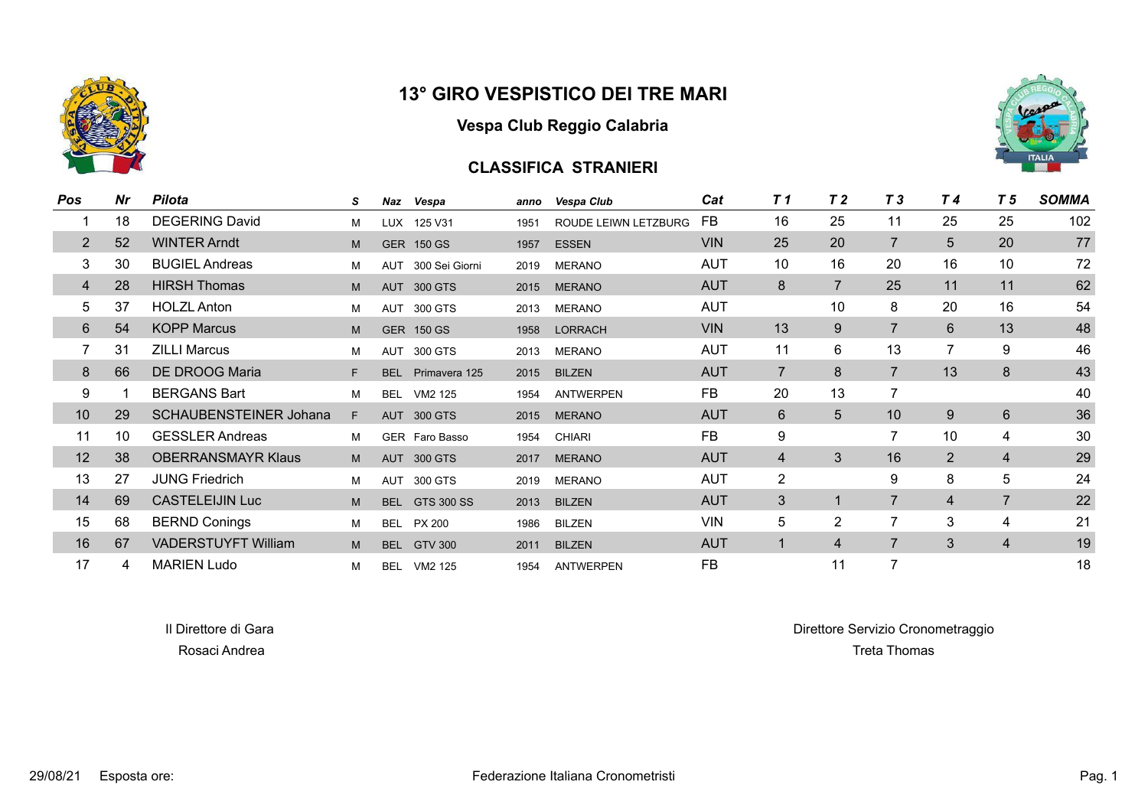

#### **Vespa Club Reggio Calabria**

### **CLASSIFICA STRANIERI**



| Pos            | Nr | <b>Pilota</b>                 | S  | Naz        | Vespa              | anno | Vespa Club           | Cat        | T 1            | T <sub>2</sub> | T <sub>3</sub> | T <sub>4</sub> | T <sub>5</sub> | <b>SOMMA</b> |
|----------------|----|-------------------------------|----|------------|--------------------|------|----------------------|------------|----------------|----------------|----------------|----------------|----------------|--------------|
|                | 18 | <b>DEGERING David</b>         | М  | <b>LUX</b> | 125 V31            | 1951 | ROUDE LEIWN LETZBURG | FB         | 16             | 25             | 11             | 25             | 25             | 102          |
| $\overline{2}$ | 52 | <b>WINTER Arndt</b>           | M  |            | <b>GER 150 GS</b>  | 1957 | <b>ESSEN</b>         | <b>VIN</b> | 25             | 20             | 7              | 5              | 20             | 77           |
| 3              | 30 | <b>BUGIEL Andreas</b>         | М  | <b>AUT</b> | 300 Sei Giorni     | 2019 | <b>MERANO</b>        | <b>AUT</b> | 10             | 16             | 20             | 16             | 10             | 72           |
| $\overline{4}$ | 28 | <b>HIRSH Thomas</b>           | M  | <b>AUT</b> | 300 GTS            | 2015 | <b>MERANO</b>        | <b>AUT</b> | 8              | $\overline{7}$ | 25             | 11             | 11             | 62           |
| 5              | 37 | <b>HOLZL Anton</b>            | М  | <b>AUT</b> | 300 GTS            | 2013 | <b>MERANO</b>        | <b>AUT</b> |                | 10             | 8              | 20             | 16             | 54           |
| 6              | 54 | <b>KOPP Marcus</b>            | M  |            | <b>GER 150 GS</b>  | 1958 | <b>LORRACH</b>       | <b>VIN</b> | 13             | 9              | $\overline{7}$ | 6              | 13             | 48           |
|                | 31 | <b>ZILLI Marcus</b>           | М  | <b>AUT</b> | 300 GTS            | 2013 | <b>MERANO</b>        | <b>AUT</b> | 11             | 6              | 13             | 7              | 9              | 46           |
| 8              | 66 | DE DROOG Maria                | F. | <b>BEL</b> | Primavera 125      | 2015 | <b>BILZEN</b>        | <b>AUT</b> | $\overline{7}$ | 8              | $\overline{7}$ | 13             | 8              | 43           |
| 9              |    | <b>BERGANS Bart</b>           | М  | <b>BEL</b> | VM2 125            | 1954 | <b>ANTWERPEN</b>     | FB         | 20             | 13             | 7              |                |                | 40           |
| 10             | 29 | <b>SCHAUBENSTEINER Johana</b> | F. |            | AUT 300 GTS        | 2015 | <b>MERANO</b>        | <b>AUT</b> | $6\phantom{1}$ | $5\phantom{.}$ | 10             | 9              | 6              | 36           |
| 11             | 10 | <b>GESSLER Andreas</b>        | М  |            | GER Faro Basso     | 1954 | <b>CHIARI</b>        | <b>FB</b>  | 9              |                | $\overline{7}$ | 10             | 4              | 30           |
| 12             | 38 | <b>OBERRANSMAYR Klaus</b>     | M  |            | AUT 300 GTS        | 2017 | <b>MERANO</b>        | <b>AUT</b> | $\overline{4}$ | 3              | 16             | $\overline{2}$ | $\overline{4}$ | 29           |
| 13             | 27 | <b>JUNG Friedrich</b>         | м  | <b>AUT</b> | 300 GTS            | 2019 | <b>MERANO</b>        | <b>AUT</b> | $\overline{2}$ |                | 9              | 8              | 5              | 24           |
| 14             | 69 | <b>CASTELEIJIN Luc</b>        | M  | <b>BEL</b> | GTS 300 SS         | 2013 | <b>BILZEN</b>        | <b>AUT</b> | 3              |                | $\overline{7}$ | 4              | $\overline{7}$ | 22           |
| 15             | 68 | <b>BERND Conings</b>          | М  |            | <b>BEL PX 200</b>  | 1986 | <b>BILZEN</b>        | <b>VIN</b> | 5              | $\overline{2}$ | $\overline{7}$ | 3              | 4              | 21           |
| 16             | 67 | <b>VADERSTUYFT William</b>    | M  | <b>BEL</b> | <b>GTV 300</b>     | 2011 | <b>BILZEN</b>        | <b>AUT</b> | $\blacksquare$ | $\overline{4}$ | $\overline{7}$ | 3              | $\overline{4}$ | 19           |
| 17             | 4  | <b>MARIEN Ludo</b>            | М  |            | <b>BEL VM2 125</b> | 1954 | <b>ANTWERPEN</b>     | <b>FB</b>  |                | 11             | $\overline{7}$ |                |                | 18           |

Il Direttore di Gara di Gara Direttore di Gara Direttore Servizio Cronometraggio Rosaci Andrea Treta Thomas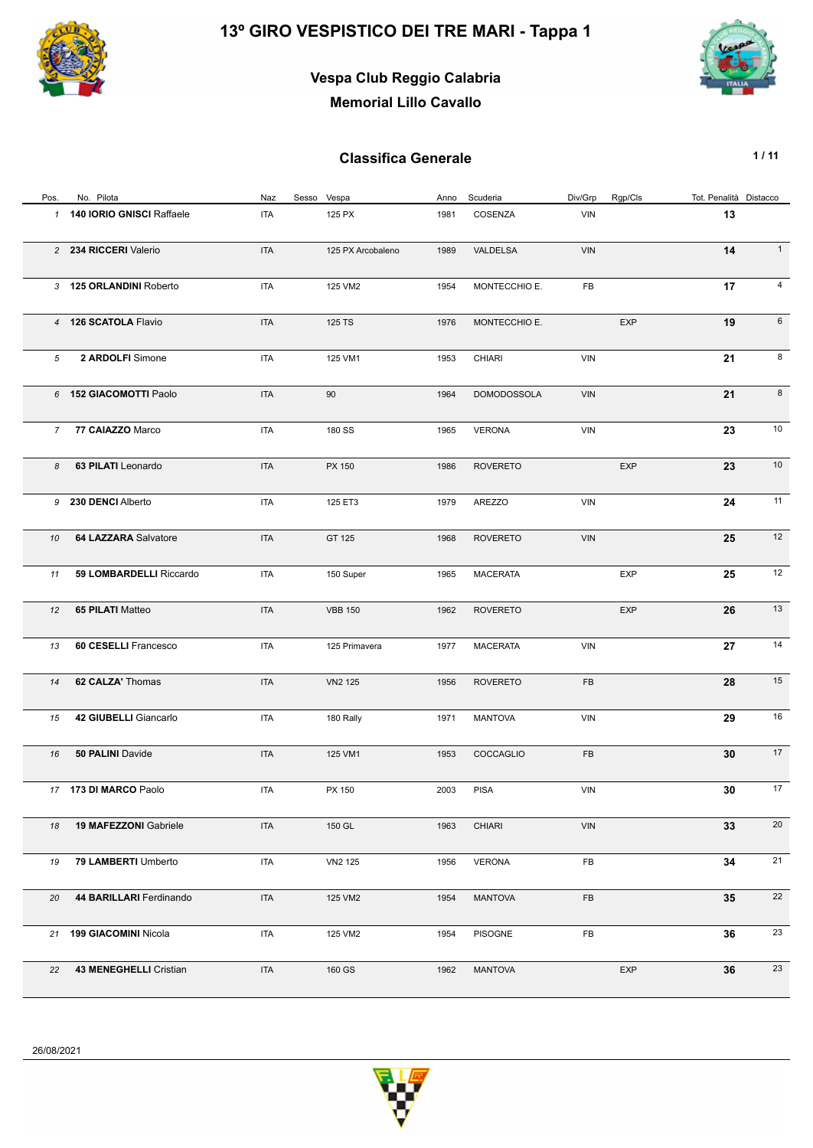

## **Vespa Club Reggio Calabria Memorial Lillo Cavallo**



| Pos.          | No. Pilota                   | Naz        | Sesso Vespa       | Anno | Scuderia           | Div/Grp    | Rgp/Cls    | Tot. Penalità Distacco |                |
|---------------|------------------------------|------------|-------------------|------|--------------------|------------|------------|------------------------|----------------|
| $\mathcal{I}$ | 140 IORIO GNISCI Raffaele    | ITA        | 125 PX            | 1981 | COSENZA            | VIN        |            | 13                     |                |
|               | 2 234 RICCERI Valerio        | <b>ITA</b> | 125 PX Arcobaleno | 1989 | VALDELSA           | VIN        |            | 14                     | $\mathbf{1}$   |
|               | 3 125 ORLANDINI Roberto      | <b>ITA</b> | 125 VM2           | 1954 | MONTECCHIO E.      | FB         |            | 17                     | $\overline{4}$ |
|               | 4 126 SCATOLA Flavio         | <b>ITA</b> | 125 TS            | 1976 | MONTECCHIO E.      |            | <b>EXP</b> | 19                     | 6              |
| 5             | 2 ARDOLFI Simone             | <b>ITA</b> | 125 VM1           | 1953 | <b>CHIARI</b>      | VIN        |            | 21                     | 8              |
|               | 6 152 GIACOMOTTI Paolo       | <b>ITA</b> | 90                | 1964 | <b>DOMODOSSOLA</b> | VIN        |            | 21                     | 8              |
|               | 7 77 CAIAZZO Marco           | <b>ITA</b> | 180 SS            | 1965 | <b>VERONA</b>      | VIN        |            | 23                     | 10             |
| 8             | 63 PILATI Leonardo           | <b>ITA</b> | PX 150            | 1986 | <b>ROVERETO</b>    |            | <b>EXP</b> | 23                     | 10             |
|               | 9 230 DENCI Alberto          | <b>ITA</b> | 125 ET3           | 1979 | <b>AREZZO</b>      | VIN        |            | 24                     | 11             |
| 10            | 64 LAZZARA Salvatore         | <b>ITA</b> | GT 125            | 1968 | <b>ROVERETO</b>    | VIN        |            | 25                     | 12             |
| 11            | 59 LOMBARDELLI Riccardo      | <b>ITA</b> | 150 Super         | 1965 | <b>MACERATA</b>    |            | <b>EXP</b> | 25                     | 12             |
| 12            | 65 PILATI Matteo             | <b>ITA</b> | <b>VBB 150</b>    | 1962 | <b>ROVERETO</b>    |            | <b>EXP</b> | 26                     | 13             |
| 13            | 60 CESELLI Francesco         | <b>ITA</b> | 125 Primavera     | 1977 | <b>MACERATA</b>    | VIN        |            | 27                     | 14             |
| 14            | 62 CALZA' Thomas             | <b>ITA</b> | <b>VN2 125</b>    | 1956 | <b>ROVERETO</b>    | FB         |            | 28                     | 15             |
| 15            | 42 GIUBELLI Giancarlo        | <b>ITA</b> | 180 Rally         | 1971 | <b>MANTOVA</b>     | <b>VIN</b> |            | 29                     | 16             |
| 16            | 50 PALINI Davide             | <b>ITA</b> | 125 VM1           | 1953 | COCCAGLIO          | FB         |            | 30                     | 17             |
|               | 17 173 DI MARCO Paolo        | <b>ITA</b> | PX 150            | 2003 | <b>PISA</b>        | VIN        |            | 30                     | 17             |
| 18            | <b>19 MAFEZZONI Gabriele</b> | <b>ITA</b> | 150 GL            | 1963 | <b>CHIARI</b>      | VIN        |            | 33                     | 20             |
| 19            | 79 LAMBERTI Umberto          | <b>ITA</b> | VN2 125           | 1956 | <b>VERONA</b>      | FB         |            | 34                     | 21             |
| 20            | 44 BARILLARI Ferdinando      | <b>ITA</b> | 125 VM2           | 1954 | <b>MANTOVA</b>     | FB         |            | 35                     | 22             |
|               | 21 199 GIACOMINI Nicola      | <b>ITA</b> | 125 VM2           | 1954 | <b>PISOGNE</b>     | FB         |            | 36                     | 23             |
| 22            | 43 MENEGHELLI Cristian       | <b>ITA</b> | 160 GS            | 1962 | <b>MANTOVA</b>     |            | <b>EXP</b> | 36                     | 23             |

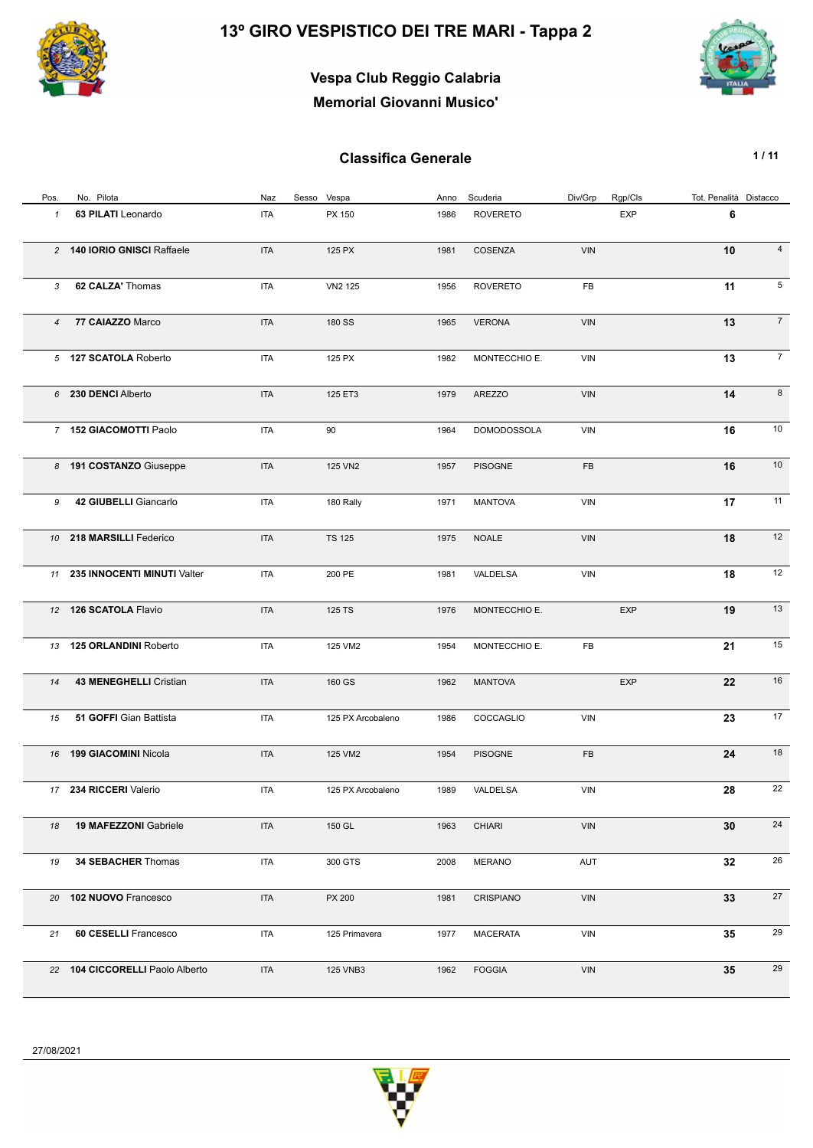

# **Vespa Club Reggio Calabria Memorial Giovanni Musico'**



| Pos.           | No. Pilota                      | Naz        | Sesso Vespa       | Anno | Scuderia           | Div/Grp    | Rgp/Cls    | Tot. Penalità Distacco |                 |
|----------------|---------------------------------|------------|-------------------|------|--------------------|------------|------------|------------------------|-----------------|
| $\mathcal I$   | 63 PILATI Leonardo              | <b>ITA</b> | PX 150            | 1986 | <b>ROVERETO</b>    |            | <b>EXP</b> | 6                      |                 |
|                | 2 140 IORIO GNISCI Raffaele     | <b>ITA</b> | 125 PX            | 1981 | COSENZA            | <b>VIN</b> |            | 10                     | $\overline{4}$  |
| 3              | 62 CALZA' Thomas                | <b>ITA</b> | VN2 125           | 1956 | <b>ROVERETO</b>    | FB         |            | 11                     | 5               |
| $\overline{4}$ | 77 CAIAZZO Marco                | <b>ITA</b> | 180 SS            | 1965 | <b>VERONA</b>      | <b>VIN</b> |            | 13                     | $\overline{7}$  |
|                | 5 127 SCATOLA Roberto           | <b>ITA</b> | 125 PX            | 1982 | MONTECCHIO E.      | <b>VIN</b> |            | 13                     | $7\overline{ }$ |
|                | 6 230 DENCI Alberto             | <b>ITA</b> | 125 ET3           | 1979 | <b>AREZZO</b>      | VIN        |            | 14                     | 8               |
|                | 7 152 GIACOMOTTI Paolo          | <b>ITA</b> | 90                | 1964 | <b>DOMODOSSOLA</b> | <b>VIN</b> |            | 16                     | 10              |
|                | 8 191 COSTANZO Giuseppe         | <b>ITA</b> | 125 VN2           | 1957 | <b>PISOGNE</b>     | FB         |            | 16                     | 10              |
| 9              | 42 GIUBELLI Giancarlo           | <b>ITA</b> | 180 Rally         | 1971 | <b>MANTOVA</b>     | <b>VIN</b> |            | 17                     | 11              |
|                | 10 218 MARSILLI Federico        | <b>ITA</b> | <b>TS 125</b>     | 1975 | <b>NOALE</b>       | <b>VIN</b> |            | 18                     | 12              |
|                | 11 235 INNOCENTI MINUTI Valter  | <b>ITA</b> | 200 PE            | 1981 | VALDELSA           | <b>VIN</b> |            | 18                     | 12              |
|                | 12 126 SCATOLA Flavio           | <b>ITA</b> | 125 TS            | 1976 | MONTECCHIO E.      |            | EXP        | 19                     | 13              |
|                | 13 125 ORLANDINI Roberto        | <b>ITA</b> | 125 VM2           | 1954 | MONTECCHIO E.      | FB         |            | 21                     | 15              |
| 14             | 43 MENEGHELLI Cristian          | <b>ITA</b> | 160 GS            | 1962 | <b>MANTOVA</b>     |            | <b>EXP</b> | 22                     | 16              |
| 15             | 51 GOFFI Gian Battista          | <b>ITA</b> | 125 PX Arcobaleno | 1986 | COCCAGLIO          | <b>VIN</b> |            | 23                     | 17              |
|                | 16 199 GIACOMINI Nicola         | <b>ITA</b> | 125 VM2           | 1954 | <b>PISOGNE</b>     | FB         |            | 24                     | 18              |
|                | 17 234 RICCERI Valerio          | <b>ITA</b> | 125 PX Arcobaleno | 1989 | VALDELSA           | <b>VIN</b> |            | 28                     | 22              |
| 18             | <b>19 MAFEZZONI Gabriele</b>    | <b>ITA</b> | 150 GL            | 1963 | <b>CHIARI</b>      | VIN        |            | 30                     | 24              |
| 19             | 34 SEBACHER Thomas              | <b>ITA</b> | 300 GTS           | 2008 | <b>MERANO</b>      | AUT        |            | 32                     | 26              |
| 20             | 102 NUOVO Francesco             | <b>ITA</b> | PX 200            | 1981 | CRISPIANO          | VIN        |            | 33                     | 27              |
| 21             | 60 CESELLI Francesco            | <b>ITA</b> | 125 Primavera     | 1977 | <b>MACERATA</b>    | VIN        |            | 35                     | 29              |
|                | 22 104 CICCORELLI Paolo Alberto | <b>ITA</b> | 125 VNB3          | 1962 | <b>FOGGIA</b>      | VIN        |            | 35                     | 29              |

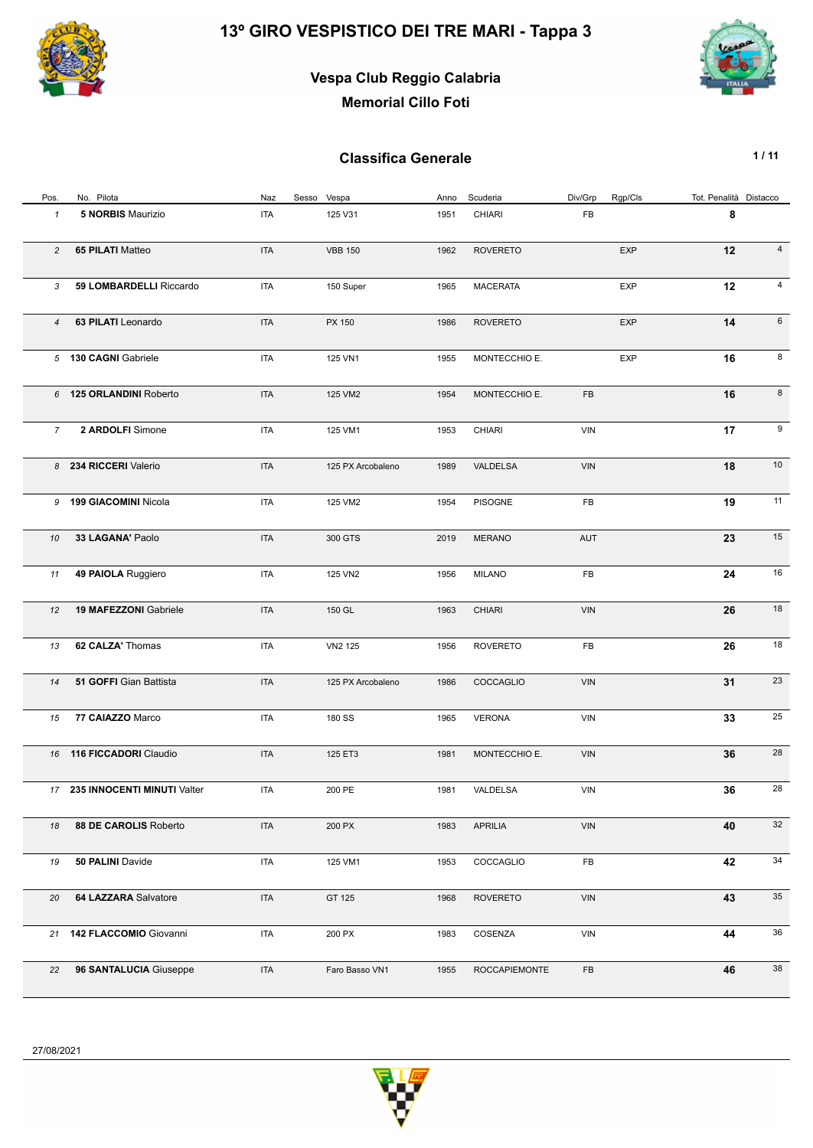

## **Vespa Club Reggio Calabria Memorial Cillo Foti**



| Pos.           | No. Pilota                     | Naz        | Sesso Vespa       | Anno | Scuderia             | Div/Grp    | Rgp/Cls    | Tot. Penalità Distacco |                |
|----------------|--------------------------------|------------|-------------------|------|----------------------|------------|------------|------------------------|----------------|
| $\mathbf{1}$   | <b>5 NORBIS Maurizio</b>       | <b>ITA</b> | 125 V31           | 1951 | CHIARI               | FB         |            | 8                      |                |
| $\overline{c}$ | 65 PILATI Matteo               | <b>ITA</b> | <b>VBB 150</b>    | 1962 | <b>ROVERETO</b>      |            | EXP        | 12                     | $\overline{4}$ |
| 3              | 59 LOMBARDELLI Riccardo        | <b>ITA</b> | 150 Super         | 1965 | <b>MACERATA</b>      |            | <b>EXP</b> | 12                     | 4              |
| 4              | 63 PILATI Leonardo             | <b>ITA</b> | PX 150            | 1986 | <b>ROVERETO</b>      |            | <b>EXP</b> | 14                     | 6              |
|                | 5 130 CAGNI Gabriele           | <b>ITA</b> | 125 VN1           | 1955 | MONTECCHIO E.        |            | <b>EXP</b> | 16                     | 8              |
|                | 6 125 ORLANDINI Roberto        | <b>ITA</b> | 125 VM2           | 1954 | MONTECCHIO E.        | FB         |            | 16                     | 8              |
| $\overline{7}$ | 2 ARDOLFI Simone               | <b>ITA</b> | 125 VM1           | 1953 | <b>CHIARI</b>        | VIN        |            | 17                     | 9              |
|                | 8 234 RICCERI Valerio          | <b>ITA</b> | 125 PX Arcobaleno | 1989 | VALDELSA             | VIN        |            | 18                     | 10             |
|                | 9 199 GIACOMINI Nicola         | <b>ITA</b> | 125 VM2           | 1954 | <b>PISOGNE</b>       | FB         |            | 19                     | 11             |
| 10             | 33 LAGANA' Paolo               | <b>ITA</b> | 300 GTS           | 2019 | <b>MERANO</b>        | AUT        |            | 23                     | 15             |
| 11             | 49 PAIOLA Ruggiero             | <b>ITA</b> | 125 VN2           | 1956 | <b>MILANO</b>        | FB         |            | 24                     | 16             |
| 12             | 19 MAFEZZONI Gabriele          | <b>ITA</b> | 150 GL            | 1963 | <b>CHIARI</b>        | VIN        |            | 26                     | 18             |
| 13             | 62 CALZA' Thomas               | <b>ITA</b> | VN2 125           | 1956 | <b>ROVERETO</b>      | FB         |            | 26                     | 18             |
| 14             | 51 GOFFI Gian Battista         | <b>ITA</b> | 125 PX Arcobaleno | 1986 | COCCAGLIO            | VIN        |            | 31                     | 23             |
| 15             | 77 CAIAZZO Marco               | <b>ITA</b> | 180 SS            | 1965 | <b>VERONA</b>        | <b>VIN</b> |            | 33                     | 25             |
|                | 16 116 FICCADORI Claudio       | <b>ITA</b> | 125 ET3           | 1981 | MONTECCHIO E.        | VIN        |            | 36                     | 28             |
|                | 17 235 INNOCENTI MINUTI Valter | <b>ITA</b> | 200 PE            | 1981 | VALDELSA             | VIN        |            | 36                     | 28             |
| 18             | 88 DE CAROLIS Roberto          | <b>ITA</b> | 200 PX            | 1983 | <b>APRILIA</b>       | VIN        |            | 40                     | 32             |
| 19             | 50 PALINI Davide               | ITA        | 125 VM1           | 1953 | COCCAGLIO            | FB         |            | 42                     | 34             |
| 20             | 64 LAZZARA Salvatore           | <b>ITA</b> | GT 125            | 1968 | <b>ROVERETO</b>      | VIN        |            | 43                     | 35             |
| 21             | 142 FLACCOMIO Giovanni         | ITA        | 200 PX            | 1983 | COSENZA              | <b>VIN</b> |            | 44                     | 36             |
| 22             | 96 SANTALUCIA Giuseppe         | ITA        | Faro Basso VN1    | 1955 | <b>ROCCAPIEMONTE</b> | FB         |            | 46                     | 38             |

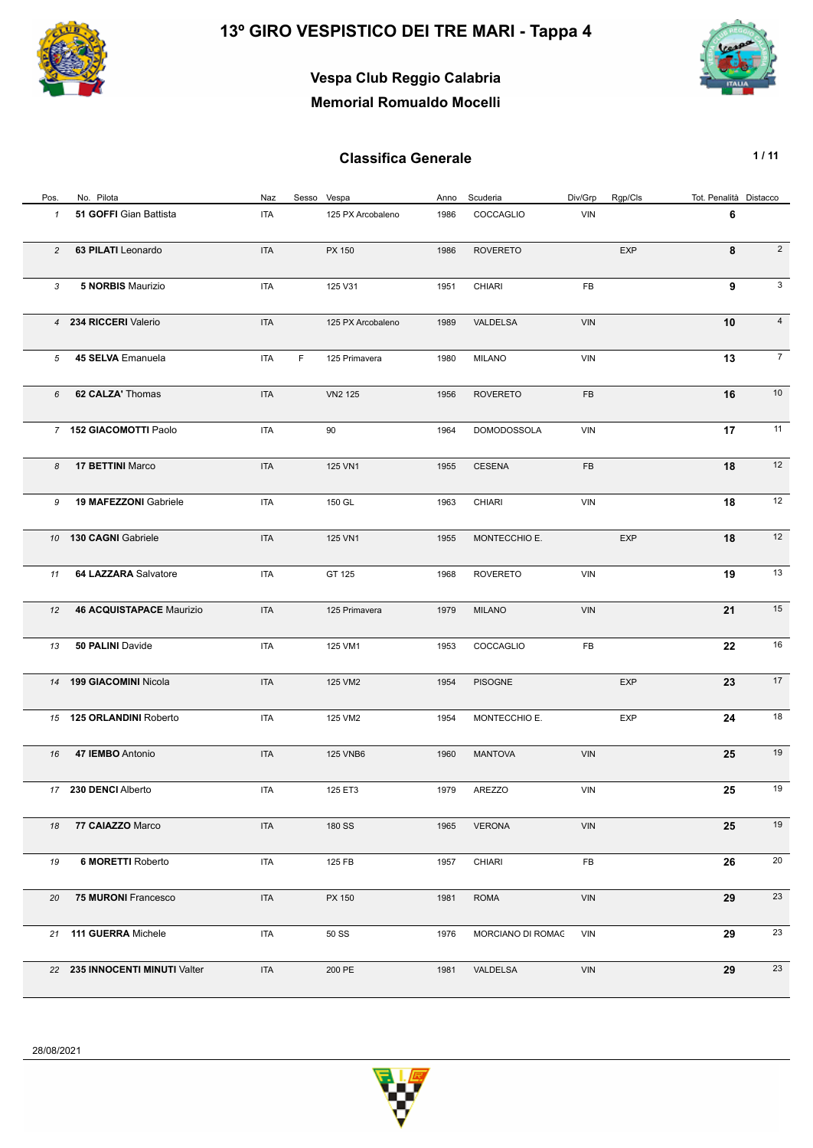

## **Vespa Club Reggio Calabria Memorial Romualdo Mocelli**

| Pos.           | No. Pilota                      | Naz        | Sesso Vespa |                   | Anno | Scuderia           | Div/Grp    | Rgp/Cls    | Tot. Penalità Distacco |                |
|----------------|---------------------------------|------------|-------------|-------------------|------|--------------------|------------|------------|------------------------|----------------|
| 1              | 51 GOFFI Gian Battista          | <b>ITA</b> |             | 125 PX Arcobaleno | 1986 | COCCAGLIO          | VIN        |            | 6                      |                |
| $\overline{c}$ | 63 PILATI Leonardo              | <b>ITA</b> |             | PX 150            | 1986 | <b>ROVERETO</b>    |            | <b>EXP</b> | 8                      | $\overline{2}$ |
| 3              | 5 NORBIS Maurizio               | <b>ITA</b> |             | 125 V31           | 1951 | CHIARI             | FB         |            | 9                      | 3              |
|                | 4 234 RICCERI Valerio           | <b>ITA</b> |             | 125 PX Arcobaleno | 1989 | VALDELSA           | VIN        |            | 10                     | $\overline{4}$ |
| 5              | 45 SELVA Emanuela               | <b>ITA</b> | F.          | 125 Primavera     | 1980 | <b>MILANO</b>      | VIN        |            | 13                     | $\overline{7}$ |
| 6              | 62 CALZA' Thomas                | <b>ITA</b> |             | <b>VN2 125</b>    | 1956 | <b>ROVERETO</b>    | FB         |            | 16                     | 10             |
|                | 7 152 GIACOMOTTI Paolo          | <b>ITA</b> |             | 90                | 1964 | <b>DOMODOSSOLA</b> | <b>VIN</b> |            | 17                     | 11             |
| 8              | 17 BETTINI Marco                | <b>ITA</b> |             | 125 VN1           | 1955 | <b>CESENA</b>      | FB         |            | 18                     | 12             |
| 9              | <b>19 MAFEZZONI Gabriele</b>    | <b>ITA</b> |             | 150 GL            | 1963 | <b>CHIARI</b>      | <b>VIN</b> |            | 18                     | 12             |
|                | 10 130 CAGNI Gabriele           | <b>ITA</b> |             | 125 VN1           | 1955 | MONTECCHIO E.      |            | <b>EXP</b> | 18                     | 12             |
| 11             | 64 LAZZARA Salvatore            | <b>ITA</b> |             | GT 125            | 1968 | <b>ROVERETO</b>    | VIN        |            | 19                     | 13             |
| 12             | <b>46 ACQUISTAPACE Maurizio</b> | <b>ITA</b> |             | 125 Primavera     | 1979 | <b>MILANO</b>      | <b>VIN</b> |            | 21                     | 15             |
| 13             | 50 PALINI Davide                | <b>ITA</b> |             | 125 VM1           | 1953 | COCCAGLIO          | FB         |            | 22                     | 16             |
|                | 14 199 GIACOMINI Nicola         | <b>ITA</b> |             | 125 VM2           | 1954 | <b>PISOGNE</b>     |            | <b>EXP</b> | 23                     | 17             |
|                | 15 125 ORLANDINI Roberto        | <b>ITA</b> |             | 125 VM2           | 1954 | MONTECCHIO E.      |            | <b>EXP</b> | 24                     | 18             |
| 16             | 47 IEMBO Antonio                | <b>ITA</b> |             | <b>125 VNB6</b>   | 1960 | <b>MANTOVA</b>     | VIN        |            | 25                     | 19             |
|                | 17 230 DENCI Alberto            | <b>ITA</b> |             | 125 ET3           | 1979 | <b>AREZZO</b>      | VIN        |            | 25                     | 19             |
| 18             | 77 CAIAZZO Marco                | <b>ITA</b> |             | 180 SS            | 1965 | <b>VERONA</b>      | VIN        |            | 25                     | 19             |
| 19             | 6 MORETTI Roberto               | <b>ITA</b> |             | 125 FB            | 1957 | <b>CHIARI</b>      | FB         |            | 26                     | 20             |
| 20             | <b>75 MURONI Francesco</b>      | <b>ITA</b> |             | PX 150            | 1981 | <b>ROMA</b>        | VIN        |            | 29                     | 23             |
|                | 21 111 GUERRA Michele           | ITA        |             | 50 SS             | 1976 | MORCIANO DI ROMAC  | <b>VIN</b> |            | 29                     | 23             |
|                | 22 235 INNOCENTI MINUTI Valter  | <b>ITA</b> |             | 200 PE            | 1981 | VALDELSA           | VIN        |            | 29                     | 23             |